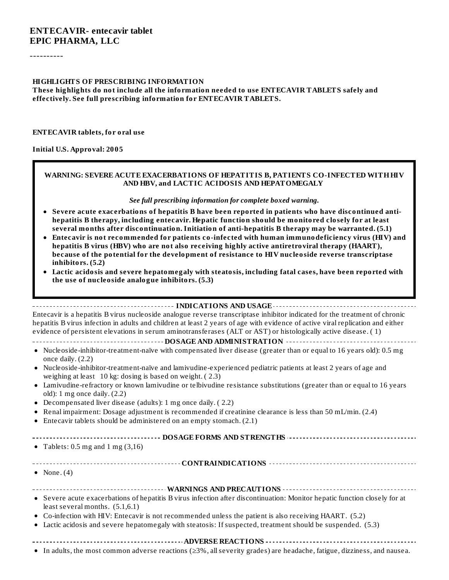----------

#### **HIGHLIGHTS OF PRESCRIBING INFORMATION**

**These highlights do not include all the information needed to use ENTECAVIR TABLETS safely and effectively. See full prescribing information for ENTECAVIR TABLETS.**

#### **ENTECAVIR tablets, for oral use**

#### **Initial U.S. Approval: 2005**

#### **WARNING: SEVERE ACUTE EXACERBATIONS OF HEPATITIS B, PATIENTS CO-INFECTED WITHHIV AND HBV, and LACTIC ACIDOSIS AND HEPATOMEGALY**

#### *See full prescribing information for complete boxed warning.*

- **Severe acute exacerbations of hepatitis B have been reported in patients who have discontinued antihepatitis B therapy, including entecavir. Hepatic function should be monitored closely for at least several months after discontinuation. Initiation of anti-hepatitis B therapy may be warranted. (5.1)**
- **Entecavir is not recommended for patients co-infected with human immunodeficiency virus (HIV) and hepatitis B virus (HBV) who are not also receiving highly active antiretroviral therapy (HAART), because of the potential for the development of resistance to HIV nucleoside reverse transcriptase inhibitors. (5.2)**
- **Lactic acidosis and severe hepatomegaly with steatosis, including fatal cases, have been reported with the use of nucleoside analogue inhibitors. (5.3)**

#### **INDICATIONS AND USAGE**

Entecavir is a hepatitis B virus nucleoside analogue reverse transcriptase inhibitor indicated for the treatment of chronic hepatitis B virus infection in adults and children at least 2 years of age with evidence of active viral replication and either evidence of persistent elevations in serum aminotransferases (ALT or AST) or histologically active disease. ( 1)

#### **DOSAGE AND ADMINISTRATION**

- Nucleoside-inhibitor-treatment-naïve with compensated liver disease (greater than or equal to 16 years old): 0.5 mg once daily. (2.2)
- Nucleoside-inhibitor-treatment-naïve and lamivudine-experienced pediatric patients at least 2 years of age and weighing at least 10 kg: dosing is based on weight. ( 2.3)
- Lamivudine-refractory or known lamivudine or telbivudine resistance substitutions (greater than or equal to 16 years  $\bullet$ old): 1 mg once daily. (2.2)
- Decompensated liver disease (adults): 1 mg once daily. ( 2.2)  $\bullet$
- Renal impairment: Dosage adjustment is recommended if creatinine clearance is less than 50 mL/min. (2.4)
- Entecavir tablets should be administered on an empty stomach. (2.1)

#### **DOSAGE FORMS AND STRENGTHS**

- Tablets:  $0.5$  mg and  $1 \text{ mg } (3,16)$ 
	- **CONTRAINDICATIONS**
- None. (4) ٠

| . - Carrage amite americalisticae of konsitite Derives infostion often discontinuation Monitor konsite function classific format |
|----------------------------------------------------------------------------------------------------------------------------------|

- Severe acute exacerbations of hepatitis B virus infection after discontinuation: Monitor hepatic function closely for at least several months. (5.1,6.1)
- Co-infection with HIV: Entecavir is not recommended unless the patient is also receiving HAART. (5.2)
- Lactic acidosis and severe hepatomegaly with steatosis: If suspected, treatment should be suspended. (5.3)
- **ADVERSE REACTIONS**
- In adults, the most common adverse reactions (≥3%, allseverity grades) are headache, fatigue, dizziness, and nausea.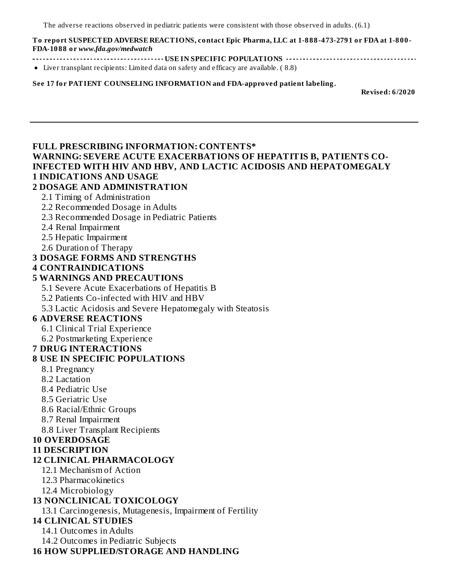The adverse reactions observed in pediatric patients were consistent with those observed in adults. (6.1)

#### **To report SUSPECTED ADVERSE REACTIONS, contact Epic Pharma, LLC at 1-888-473-2791 or FDA at 1-800- FDA-1088 or** *www.fda.gov/medwatch*

- **USE IN SPECIFIC POPULATIONS**
- Liver transplant recipients: Limited data on safety and efficacy are available. ( 8.8)

**See 17 for PATIENT COUNSELING INFORMATION and FDA-approved patient labeling.**

**Revised: 6/2020**

#### **FULL PRESCRIBING INFORMATION: CONTENTS\***

#### **WARNING: SEVERE ACUTE EXACERBATIONS OF HEPATITIS B, PATIENTS CO-INFECTED WITH HIV AND HBV, AND LACTIC ACIDOSIS AND HEPATOMEGALY 1 INDICATIONS AND USAGE**

#### **2 DOSAGE AND ADMINISTRATION**

- 2.1 Timing of Administration
- 2.2 Recommended Dosage in Adults
- 2.3 Recommended Dosage in Pediatric Patients
- 2.4 Renal Impairment
- 2.5 Hepatic Impairment
- 2.6 Duration of Therapy

#### **3 DOSAGE FORMS AND STRENGTHS**

**4 CONTRAINDICATIONS**

#### **5 WARNINGS AND PRECAUTIONS**

- 5.1 Severe Acute Exacerbations of Hepatitis B
- 5.2 Patients Co-infected with HIV and HBV
- 5.3 Lactic Acidosis and Severe Hepatomegaly with Steatosis

#### **6 ADVERSE REACTIONS**

- 6.1 Clinical Trial Experience
- 6.2 Postmarketing Experience

#### **7 DRUG INTERACTIONS**

#### **8 USE IN SPECIFIC POPULATIONS**

- 8.1 Pregnancy
- 8.2 Lactation
- 8.4 Pediatric Use
- 8.5 Geriatric Use
- 8.6 Racial/Ethnic Groups
- 8.7 Renal Impairment

8.8 Liver Transplant Recipients

#### **10 OVERDOSAGE**

#### **11 DESCRIPTION**

#### **12 CLINICAL PHARMACOLOGY**

- 12.1 Mechanism of Action
- 12.3 Pharmacokinetics
- 12.4 Microbiology

#### **13 NONCLINICAL TOXICOLOGY**

13.1 Carcinogenesis, Mutagenesis, Impairment of Fertility

#### **14 CLINICAL STUDIES**

14.1 Outcomes in Adults

14.2 Outcomes in Pediatric Subjects

#### **16 HOW SUPPLIED/STORAGE AND HANDLING**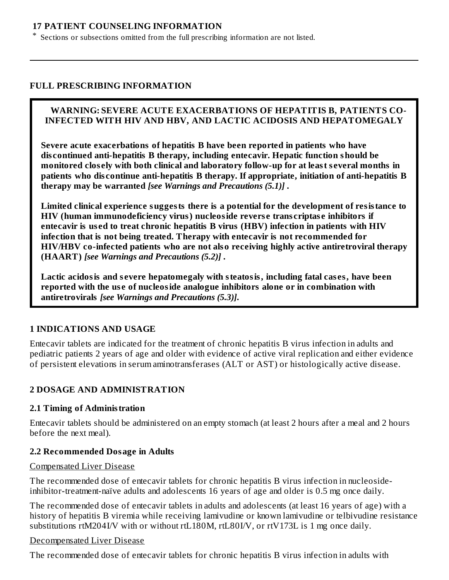#### **17 PATIENT COUNSELING INFORMATION**

Sections or subsections omitted from the full prescribing information are not listed.

#### **FULL PRESCRIBING INFORMATION**

\*

#### **WARNING: SEVERE ACUTE EXACERBATIONS OF HEPATITIS B, PATIENTS CO-INFECTED WITH HIV AND HBV, AND LACTIC ACIDOSIS AND HEPATOMEGALY**

**Severe acute exacerbations of hepatitis B have been reported in patients who have dis continued anti-hepatitis B therapy, including entecavir. Hepatic function should be monitored clos ely with both clinical and laboratory follow-up for at least s everal months in patients who dis continue anti-hepatitis B therapy. If appropriate, initiation of anti-hepatitis B therapy may be warranted** *[see Warnings and Precautions (5.1)]* **.**

**Limited clinical experience suggests there is a potential for the development of resistance to HIV (human immunodeficiency virus) nucleoside revers e trans criptas e inhibitors if entecavir is us ed to treat chronic hepatitis B virus (HBV) infection in patients with HIV infection that is not being treated. Therapy with entecavir is not recommended for HIV/HBV co-infected patients who are not also receiving highly active antiretroviral therapy (HAART)** *[see Warnings and Precautions (5.2)]* **.**

**Lactic acidosis and s evere hepatomegaly with steatosis, including fatal cas es, have been reported with the us e of nucleoside analogue inhibitors alone or in combination with antiretrovirals** *[see Warnings and Precautions (5.3)]***.**

#### **1 INDICATIONS AND USAGE**

Entecavir tablets are indicated for the treatment of chronic hepatitis B virus infection in adults and pediatric patients 2 years of age and older with evidence of active viral replication and either evidence of persistent elevations in serum aminotransferases (ALT or AST) or histologically active disease.

#### **2 DOSAGE AND ADMINISTRATION**

#### **2.1 Timing of Administration**

Entecavir tablets should be administered on an empty stomach (at least 2 hours after a meal and 2 hours before the next meal).

#### **2.2 Recommended Dosage in Adults**

#### Compensated Liver Disease

The recommended dose of entecavir tablets for chronic hepatitis B virus infection in nucleosideinhibitor-treatment-naïve adults and adolescents 16 years of age and older is 0.5 mg once daily.

The recommended dose of entecavir tablets in adults and adolescents (at least 16 years of age) with a history of hepatitis B viremia while receiving lamivudine or known lamivudine or telbivudine resistance substitutions rtM204I/V with or without rtL180M, rtL80I/V, or rtV173L is 1 mg once daily.

#### Decompensated Liver Disease

The recommended dose of entecavir tablets for chronic hepatitis B virus infection in adults with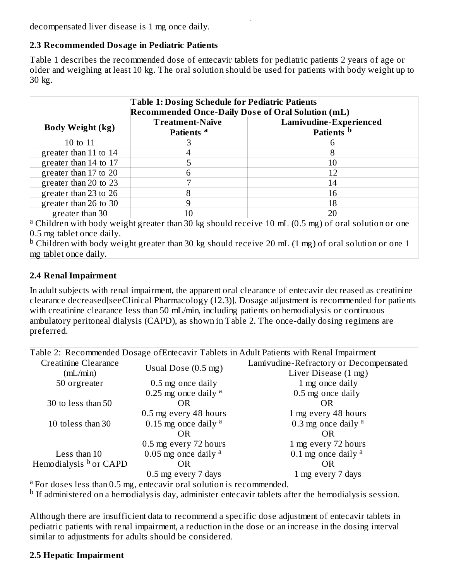The recommended dose of enterprise  $\mathcal{C}$  of enterprise  $\mathcal{C}$  virus in adults with  $\mathcal{C}$  virus in adults with  $\mathcal{C}$ decompensated liver disease is 1 mg once daily.

### **2.3 Recommended Dosage in Pediatric Patients**

Table 1 describes the recommended dose of entecavir tablets for pediatric patients 2 years of age or older and weighing at least 10 kg. The oral solution should be used for patients with body weight up to 30 kg.

| <b>Table 1: Dosing Schedule for Pediatric Patients</b>                                                            |                                                          |                        |  |  |  |  |
|-------------------------------------------------------------------------------------------------------------------|----------------------------------------------------------|------------------------|--|--|--|--|
|                                                                                                                   | <b>Recommended Once-Daily Dose of Oral Solution (mL)</b> |                        |  |  |  |  |
| <b>Body Weight (kg)</b>                                                                                           | <b>Treatment-Naïve</b>                                   | Lamivudine-Experienced |  |  |  |  |
|                                                                                                                   | Patients <sup>a</sup>                                    | Patients <sup>b</sup>  |  |  |  |  |
| 10 to 11                                                                                                          |                                                          |                        |  |  |  |  |
| greater than 11 to 14                                                                                             |                                                          | 8                      |  |  |  |  |
| greater than 14 to 17                                                                                             | 5                                                        | 10                     |  |  |  |  |
| greater than 17 to 20                                                                                             | 6                                                        | 12                     |  |  |  |  |
| greater than 20 to 23                                                                                             | 7                                                        | 14                     |  |  |  |  |
| greater than 23 to 26                                                                                             | 8                                                        | 16                     |  |  |  |  |
| greater than 26 to 30                                                                                             | 9                                                        | 18                     |  |  |  |  |
| greater than 30                                                                                                   | 10                                                       | 20                     |  |  |  |  |
| <sup>a</sup> Children with body weight greater than 30 kg should receive 10 mL $(0.5$ mg) of oral solution or one |                                                          |                        |  |  |  |  |

weight greater than 30 kg should receive  $10$  mL (0.5 mg) of oral solution or 0.5 mg tablet once daily.

 $^{\rm b}$  Children with body weight greater than 30 kg should receive 20 mL (1 mg) of oral solution or one 1 mg tablet once daily.

### **2.4 Renal Impairment**

In adult subjects with renal impairment, the apparent oral clearance of entecavir decreased as creatinine clearance decreased[seeClinical Pharmacology (12.3)]. Dosage adjustment is recommended for patients with creatinine clearance less than 50 mL/min, including patients on hemodialysis or continuous ambulatory peritoneal dialysis (CAPD), as shown in Table 2. The once-daily dosing regimens are preferred.

| Table 2: Recommended Dosage of Entecavir Tablets in Adult Patients with Renal Impairment |                               |                                        |  |  |  |
|------------------------------------------------------------------------------------------|-------------------------------|----------------------------------------|--|--|--|
| Creatinine Clearance                                                                     |                               | Lamivudine-Refractory or Decompensated |  |  |  |
| (mL/min)                                                                                 | Usual Dose $(0.5 \text{ mg})$ | Liver Disease (1 mg)                   |  |  |  |
| 50 orgreater                                                                             | 0.5 mg once daily             | 1 mg once daily                        |  |  |  |
|                                                                                          | 0.25 mg once daily $a$        | 0.5 mg once daily                      |  |  |  |
| 30 to less than 50                                                                       | OR                            | OR                                     |  |  |  |
|                                                                                          | 0.5 mg every 48 hours         | 1 mg every 48 hours                    |  |  |  |
| 10 toless than 30                                                                        | 0.15 mg once daily $a$        | 0.3 mg once daily $a$                  |  |  |  |
|                                                                                          | OR.                           | <b>OR</b>                              |  |  |  |
|                                                                                          | 0.5 mg every 72 hours         | 1 mg every 72 hours                    |  |  |  |
| Less than 10                                                                             | $0.05$ mg once daily $a$      | 0.1 mg once daily $a$                  |  |  |  |
| Hemodialysis <sup>b</sup> or CAPD                                                        | <b>OR</b>                     | <b>OR</b>                              |  |  |  |
|                                                                                          | 0.5 mg every 7 days           | 1 mg every 7 days                      |  |  |  |

<sup>a</sup> For doses less than 0.5 mg, entecavir oral solution is recommended.

<sup>b</sup> If administered on a hemodialysis day, administer entecavir tablets after the hemodialysis session.

Although there are insufficient data to recommend a specific dose adjustment of entecavir tablets in pediatric patients with renal impairment, a reduction in the dose or an increase in the dosing interval similar to adjustments for adults should be considered.

#### **2.5 Hepatic Impairment**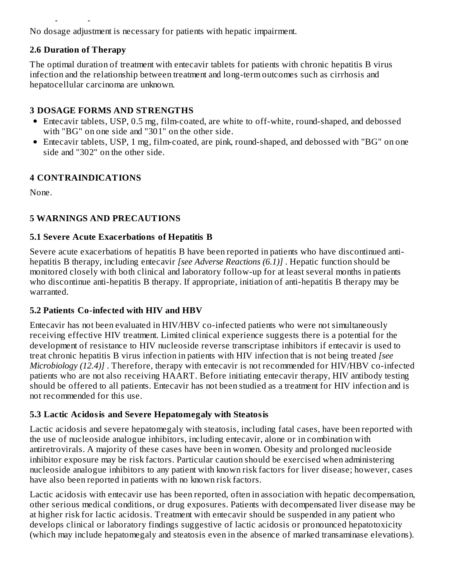No dosage adjustment is necessary for patients with hepatic impairment.

## **2.6 Duration of Therapy**

**2.5 Hepatic Impairment**

The optimal duration of treatment with entecavir tablets for patients with chronic hepatitis B virus infection and the relationship between treatment and long-term outcomes such as cirrhosis and hepatocellular carcinoma are unknown.

## **3 DOSAGE FORMS AND STRENGTHS**

- Entecavir tablets, USP, 0.5 mg, film-coated, are white to off-white, round-shaped, and debossed with "BG" on one side and "301" on the other side.
- Entecavir tablets, USP, 1 mg, film-coated, are pink, round-shaped, and debossed with "BG" on one side and "302" on the other side.

## **4 CONTRAINDICATIONS**

None.

## **5 WARNINGS AND PRECAUTIONS**

## **5.1 Severe Acute Exacerbations of Hepatitis B**

Severe acute exacerbations of hepatitis B have been reported in patients who have discontinued antihepatitis B therapy, including entecavir *[see Adverse Reactions (6.1)]* . Hepatic function should be monitored closely with both clinical and laboratory follow-up for at least several months in patients who discontinue anti-hepatitis B therapy. If appropriate, initiation of anti-hepatitis B therapy may be warranted.

## **5.2 Patients Co-infected with HIV and HBV**

Entecavir has not been evaluated in HIV/HBV co-infected patients who were not simultaneously receiving effective HIV treatment. Limited clinical experience suggests there is a potential for the development of resistance to HIV nucleoside reverse transcriptase inhibitors if entecavir is used to treat chronic hepatitis B virus infection in patients with HIV infection that is not being treated *[see Microbiology (12.4)]* . Therefore, therapy with entecavir is not recommended for HIV/HBV co-infected patients who are not also receiving HAART. Before initiating entecavir therapy, HIV antibody testing should be offered to all patients. Entecavir has not been studied as a treatment for HIV infection and is not recommended for this use.

## **5.3 Lactic Acidosis and Severe Hepatomegaly with Steatosis**

Lactic acidosis and severe hepatomegaly with steatosis, including fatal cases, have been reported with the use of nucleoside analogue inhibitors, including entecavir, alone or in combination with antiretrovirals. A majority of these cases have been in women. Obesity and prolonged nucleoside inhibitor exposure may be risk factors. Particular caution should be exercised when administering nucleoside analogue inhibitors to any patient with known risk factors for liver disease; however, cases have also been reported in patients with no known risk factors.

Lactic acidosis with entecavir use has been reported, often in association with hepatic decompensation, other serious medical conditions, or drug exposures. Patients with decompensated liver disease may be at higher risk for lactic acidosis. Treatment with entecavir should be suspended in any patient who develops clinical or laboratory findings suggestive of lactic acidosis or pronounced hepatotoxicity (which may include hepatomegaly and steatosis even in the absence of marked transaminase elevations).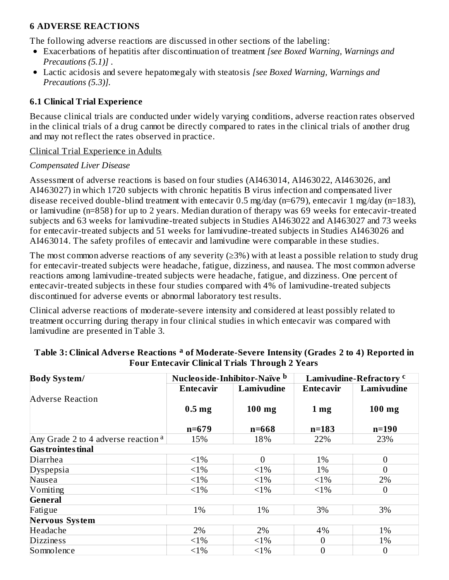### **6 ADVERSE REACTIONS**

The following adverse reactions are discussed in other sections of the labeling:

- Exacerbations of hepatitis after discontinuation of treatment *[see Boxed Warning, Warnings and Precautions (5.1)]* .
- Lactic acidosis and severe hepatomegaly with steatosis *[see Boxed Warning, Warnings and Precautions (5.3)].*

#### **6.1 Clinical Trial Experience**

Because clinical trials are conducted under widely varying conditions, adverse reaction rates observed in the clinical trials of a drug cannot be directly compared to rates in the clinical trials of another drug and may not reflect the rates observed in practice.

#### Clinical Trial Experience in Adults

#### *Compensated Liver Disease*

Assessment of adverse reactions is based on four studies (AI463014, AI463022, AI463026, and AI463027) in which 1720 subjects with chronic hepatitis B virus infection and compensated liver disease received double-blind treatment with entecavir 0.5 mg/day ( $n=679$ ), entecavir 1 mg/day ( $n=183$ ), or lamivudine (n=858) for up to 2 years. Median duration of therapy was 69 weeks for entecavir-treated subjects and 63 weeks for lamivudine-treated subjects in Studies AI463022 and AI463027 and 73 weeks for entecavir-treated subjects and 51 weeks for lamivudine-treated subjects in Studies AI463026 and AI463014. The safety profiles of entecavir and lamivudine were comparable in these studies.

The most common adverse reactions of any severity  $(\geq 3\%)$  with at least a possible relation to study drug for entecavir-treated subjects were headache, fatigue, dizziness, and nausea. The most common adverse reactions among lamivudine-treated subjects were headache, fatigue, and dizziness. One percent of entecavir-treated subjects in these four studies compared with 4% of lamivudine-treated subjects discontinued for adverse events or abnormal laboratory test results.

Clinical adverse reactions of moderate-severe intensity and considered at least possibly related to treatment occurring during therapy in four clinical studies in which entecavir was compared with lamivudine are presented in Table 3.

| <b>Body System/</b>                            | Nucleoside-Inhibitor-Naïve b |            | Lamivudine-Refractory <sup>c</sup> |                  |
|------------------------------------------------|------------------------------|------------|------------------------------------|------------------|
|                                                | Entecavir                    | Lamivudine | <b>Entecavir</b>                   | Lamivudine       |
| <b>Adverse Reaction</b>                        |                              |            |                                    |                  |
|                                                | 0.5 <sub>mg</sub>            | $100$ mg   | 1 <sub>mg</sub>                    | $100$ mg         |
|                                                |                              |            |                                    |                  |
|                                                | $n = 679$                    | $n = 668$  | $n = 183$                          | $n=190$          |
| Any Grade 2 to 4 adverse reaction <sup>a</sup> | 15%                          | 18%        | 22%                                | 23%              |
| <b>Gas trointes tinal</b>                      |                              |            |                                    |                  |
| Diarrhea                                       | $<1\%$                       | $\theta$   | 1%                                 | $\overline{0}$   |
| <b>Dyspepsia</b>                               | $<1\%$                       | $<1\%$     | 1%                                 | $\overline{0}$   |
| Nausea                                         | $<1\%$                       | $<1\%$     | $<1\%$                             | 2%               |
| Vomiting                                       | $<1\%$                       | $<1\%$     | $<1\%$                             | $\boldsymbol{0}$ |
| <b>General</b>                                 |                              |            |                                    |                  |
| Fatigue                                        | 1%                           | 1%         | 3%                                 | 3%               |
| <b>Nervous System</b>                          |                              |            |                                    |                  |
| Headache                                       | 2%                           | 2%         | 4%                                 | 1%               |
| <b>Dizziness</b>                               | $<1\%$                       | $<1\%$     | $\boldsymbol{0}$                   | 1%               |
| Somnolence                                     | $<1\%$                       | $<1\%$     | $\overline{0}$                     | $\overline{0}$   |

#### **Table 3: Clinical Advers e Reactions of Moderate-Severe Intensity (Grades 2 to 4) Reported in a Four Entecavir Clinical Trials Through 2 Years**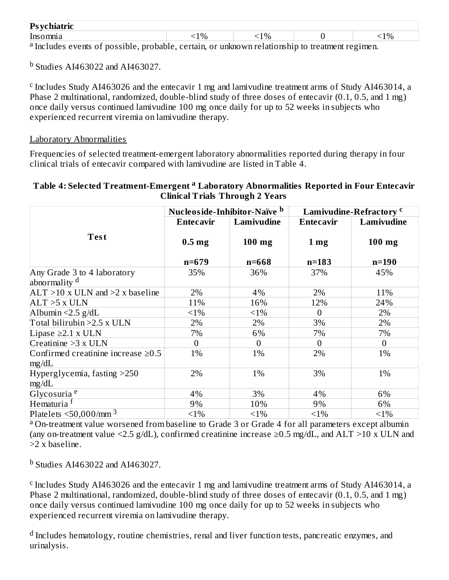| $\mathbf{Ps}_{\mathbf{V}}$<br>ИИ<br>Ciliati it |  |          |  |      |                             |  |                             |  |  |
|------------------------------------------------|--|----------|--|------|-----------------------------|--|-----------------------------|--|--|
| Inso<br>mnıə                                   |  |          |  | $\%$ | $\mathcal{O}_6$<br><u>.</u> |  | 10 <sub>h</sub><br><b>_</b> |  |  |
| 2.7                                            |  | $\cdots$ |  |      |                             |  |                             |  |  |

a Includes events of possible, probable, certain, or unknown relationship to treatment regimen.

 $^{\rm b}$  Studies AI463022 and AI463027.

<sup>c</sup> Includes Study AI463026 and the entecavir 1 mg and lamivudine treatment arms of Study AI463014, a Phase 2 multinational, randomized, double-blind study of three doses of entecavir (0.1, 0.5, and 1 mg) once daily versus continued lamivudine 100 mg once daily for up to 52 weeks in subjects who experienced recurrent viremia on lamivudine therapy.

#### Laboratory Abnormalities

Frequencies of selected treatment-emergent laboratory abnormalities reported during therapy in four clinical trials of entecavir compared with lamivudine are listed in Table 4.

### **Table 4: Selected Treatment-Emergent Laboratory Abnormalities Reported in Four Entecavir a Clinical Trials Through 2 Years**

|                                          | Nucleoside-Inhibitor-Naïve b   |                       |                              | <b>Lamivudine-Refractory c</b> |
|------------------------------------------|--------------------------------|-----------------------|------------------------------|--------------------------------|
|                                          | Entecavir                      | Lamivudine            | Entecavir                    | Lamivudine                     |
| <b>Test</b>                              | 0.5 <sub>mg</sub><br>$n = 679$ | $100$ mg<br>$n = 668$ | 1 <sub>mg</sub><br>$n = 183$ | $100$ mg<br>$n = 190$          |
| Any Grade 3 to 4 laboratory              | 35%                            | 36%                   | 37%                          | 45%                            |
| abnormality <sup>d</sup>                 |                                |                       |                              |                                |
| $ALT > 10$ x ULN and $>2$ x baseline     | 2%                             | 4%                    | 2%                           | 11%                            |
| $ALT > 5$ x ULN                          | 11%                            | 16%                   | 12%                          | 24%                            |
| Albumin $<$ 2.5 g/dL                     | $<1\%$                         | $<1\%$                | $\overline{0}$               | 2%                             |
| Total bilirubin > 2.5 x ULN              | 2%                             | 2%                    | 3%                           | 2%                             |
| Lipase $\geq$ 2.1 x ULN                  | 7%                             | 6%                    | 7%                           | 7%                             |
| Creatinine $>3 x$ ULN                    | $\overline{0}$                 | $\overline{0}$        | $\theta$                     | $\overline{0}$                 |
| Confirmed creatinine increase $\geq 0.5$ | 1%                             | 1%                    | 2%                           | 1%                             |
| mg/dL                                    |                                |                       |                              |                                |
| Hyperglycemia, fasting >250<br>mg/dL     | 2%                             | 1%                    | 3%                           | 1%                             |
| Glycosuria <sup>e</sup>                  | 4%                             | 3%                    | 4%                           | 6%                             |
| Hematuria <sup>f</sup>                   | 9%                             | 10%                   | 9%                           | 6%                             |
| Platelets $\leq$ 50,000/mm <sup>3</sup>  | $<1\%$                         | $<1\%$                | $<1\%$                       | $<1\%$                         |

<sup>a</sup> On-treatment value worsened from baseline to Grade 3 or Grade 4 for all parameters except albumin (any on-treatment value <2.5 g/dL), confirmed creatinine increase  $\geq$ 0.5 mg/dL, and ALT >10 x ULN and >2 x baseline.

 $^{\rm b}$  Studies AI463022 and AI463027.

<sup>c</sup> Includes Study AI463026 and the entecavir 1 mg and lamivudine treatment arms of Study AI463014, a Phase 2 multinational, randomized, double-blind study of three doses of entecavir (0.1, 0.5, and 1 mg) once daily versus continued lamivudine 100 mg once daily for up to 52 weeks in subjects who experienced recurrent viremia on lamivudine therapy.

 $^{\rm d}$  Includes hematology, routine chemistries, renal and liver function tests, pancreatic enzymes, and urinalysis.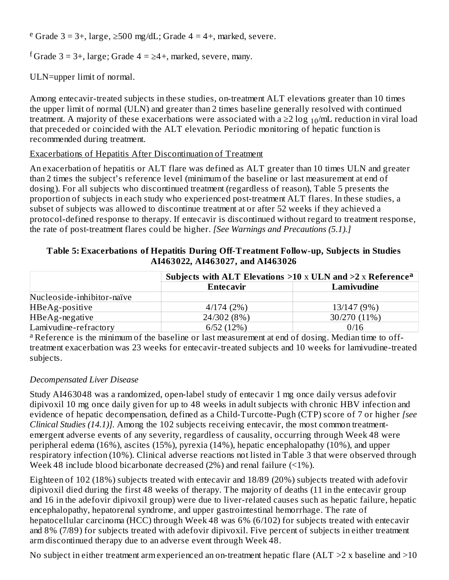<sup>e</sup> Grade 3 = 3+, large, ≥500 mg/dL; Grade 4 = 4+, marked, severe.

f Grade 3 = 3+, large; Grade 4 =  $\geq$ 4+, marked, severe, many.

ULN=upper limit of normal.

Among entecavir-treated subjects in these studies, on-treatment ALT elevations greater than 10 times the upper limit of normal (ULN) and greater than 2 times baseline generally resolved with continued treatment. A majority of these exacerbations were associated with a ≥2  $\log_{10}/$ mL reduction in viral load that preceded or coincided with the ALT elevation. Periodic monitoring of hepatic function is recommended during treatment.

#### Exacerbations of Hepatitis After Discontinuation of Treatment

An exacerbation of hepatitis or ALT flare was defined as ALT greater than 10 times ULN and greater than 2 times the subject's reference level (minimum of the baseline or last measurement at end of dosing). For all subjects who discontinued treatment (regardless of reason), Table 5 presents the proportion of subjects in each study who experienced post-treatment ALT flares. In these studies, a subset of subjects was allowed to discontinue treatment at or after 52 weeks if they achieved a protocol-defined response to therapy. If entecavir is discontinued without regard to treatment response, the rate of post-treatment flares could be higher. *[See Warnings and Precautions (5.1).]*

| Table 5: Exacerbations of Hepatitis During Off-Treatment Follow-up, Subjects in Studies |  |
|-----------------------------------------------------------------------------------------|--|
| AI463022, AI463027, and AI463026                                                        |  |

|                            | Subjects with ALT Elevations $>10 \times$ ULN and $>2 \times$ Reference <sup>a</sup> |              |  |  |  |
|----------------------------|--------------------------------------------------------------------------------------|--------------|--|--|--|
|                            | Entecavir                                                                            | Lamivudine   |  |  |  |
| Nucleoside-inhibitor-naïve |                                                                                      |              |  |  |  |
| HBeAg-positive             | 4/174(2%)                                                                            | 13/147 (9%)  |  |  |  |
| HBeAg-negative             | 24/302 (8%)                                                                          | 30/270 (11%) |  |  |  |
| Lamivudine-refractory      | 6/52(12%)                                                                            | 0/16         |  |  |  |

<sup>a</sup> Reference is the minimum of the baseline or last measurement at end of dosing. Median time to offtreatment exacerbation was 23 weeks for entecavir-treated subjects and 10 weeks for lamivudine-treated subjects.

#### *Decompensated Liver Disease*

Study AI463048 was a randomized, open-label study of entecavir 1 mg once daily versus adefovir dipivoxil 10 mg once daily given for up to 48 weeks in adult subjects with chronic HBV infection and evidence of hepatic decompensation, defined as a Child-Turcotte-Pugh (CTP) score of 7 or higher *[see Clinical Studies (14.1)].* Among the 102 subjects receiving entecavir, the most common treatmentemergent adverse events of any severity, regardless of causality, occurring through Week 48 were peripheral edema (16%), ascites (15%), pyrexia (14%), hepatic encephalopathy (10%), and upper respiratory infection (10%). Clinical adverse reactions not listed in Table 3 that were observed through Week 48 include blood bicarbonate decreased (2%) and renal failure (<1%).

Eighteen of 102 (18%) subjects treated with entecavir and 18/89 (20%) subjects treated with adefovir dipivoxil died during the first 48 weeks of therapy. The majority of deaths (11 in the entecavir group and 16 in the adefovir dipivoxil group) were due to liver-related causes such as hepatic failure, hepatic encephalopathy, hepatorenal syndrome, and upper gastrointestinal hemorrhage. The rate of hepatocellular carcinoma (HCC) through Week 48 was 6% (6/102) for subjects treated with entecavir and 8% (7/89) for subjects treated with adefovir dipivoxil. Five percent of subjects in either treatment arm discontinued therapy due to an adverse event through Week 48.

No subject in either treatment arm experienced an on-treatment hepatic flare (ALT  $>2$  x baseline and  $>10$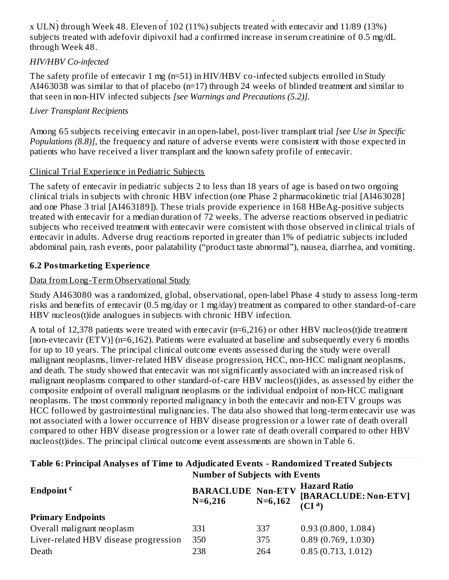No subject in either treatment are treatment are  $\mathcal{L}_1$  and  $\mathcal{L}_2$   $\mathcal{L}_2$   $\mathcal{L}_3$   $\mathcal{L}_4$   $\mathcal{L}_5$   $\mathcal{L}_6$   $\mathcal{L}_7$   $\mathcal{L}_8$   $\mathcal{L}_9$   $\mathcal{L}_9$   $\mathcal{L}_1$   $\mathcal{L}_2$   $\mathcal{L}_3$   $\mathcal{L}_3$   $\mathcal{L}_4$   $\mathcal{L}_5$ x ULN) through Week 48. Eleven of 102 (11%) subjects treated with entecavir and 11/89 (13%) subjects treated with adefovir dipivoxil had a confirmed increase in serum creatinine of 0.5 mg/dL through Week 48.

### *HIV/HBV Co-infected*

The safety profile of entecavir 1 mg (n=51) in HIV/HBV co-infected subjects enrolled in Study AI463038 was similar to that of placebo (n=17) through 24 weeks of blinded treatment and similar to that seen in non-HIV infected subjects *[see Warnings and Precautions (5.2)].*

## *Liver Transplant Recipients*

Among 65 subjects receiving entecavir in an open-label, post-liver transplant trial *[see Use in Specific Populations (8.8)]*, the frequency and nature of adverse events were consistent with those expected in patients who have received a liver transplant and the known safety profile of entecavir.

## Clinical Trial Experience in Pediatric Subjects

The safety of entecavir in pediatric subjects 2 to less than 18 years of age is based on two ongoing clinical trials in subjects with chronic HBV infection (one Phase 2 pharmacokinetic trial [AI463028] and one Phase 3 trial [AI463189]). These trials provide experience in 168 HBeAg-positive subjects treated with entecavir for a median duration of 72 weeks. The adverse reactions observed in pediatric subjects who received treatment with entecavir were consistent with those observed in clinical trials of entecavir in adults. Adverse drug reactions reported in greater than 1% of pediatric subjects included abdominal pain, rash events, poor palatability ("product taste abnormal"), nausea, diarrhea, and vomiting.

## **6.2 Postmarketing Experience**

## Data from Long-Term Observational Study

Study AI463080 was a randomized, global, observational, open-label Phase 4 study to assess long-term risks and benefits of entecavir (0.5 mg/day or 1 mg/day) treatment as compared to other standard-of-care HBV nucleos(t)ide analogues in subjects with chronic HBV infection.

A total of 12,378 patients were treated with entecavir (n=6,216) or other HBV nucleos(t)ide treatment [non-evtecavir (ETV)] (n=6,162). Patients were evaluated at baseline and subsequently every 6 months for up to 10 years. The principal clinical outcome events assessed during the study were overall malignant neoplasms, linver-related HBV disease progression, HCC, non-HCC malignant neoplasms, and death. The study showed that entecavir was not significantly associated with an increased risk of malignant neoplasms compared to other standard-of-care HBV nucleos(t)ides, as assessed by either the composite endpoint of overall malignant neoplasms or the individual endpoint of non-HCC malignant neoplasms. The most commonly reported malignancy in both the entecavir and non-ETV groups was HCC followed by gastrointestinal malignancies. The data also showed that long-term entecavir use was not associated with a lower occurrence of HBV disease progression or a lower rate of death overall compared to other HBV disease progression or a lower rate of death overall compared to other HBV nucleos(t)ides. The principal clinical outcome event assessments are shown in Table 6.

#### **Table 6: Principal Analys es of Time to Adjudicated Events - Randomized Treated Subjects Number of Subjects with Events**

|                                       | <b>NUMBER OF SUBJECTS WILL LYCHTS</b>              |     |                                                                   |  |  |  |
|---------------------------------------|----------------------------------------------------|-----|-------------------------------------------------------------------|--|--|--|
| Endpoint <sup>c</sup>                 | <b>BARACLUDE Non-ETV</b><br>$N=6,162$<br>$N=6,216$ |     | <b>Hazard Ratio</b><br>[BARACLUDE: Non-ETV]<br>(Cl <sup>a</sup> ) |  |  |  |
| <b>Primary Endpoints</b>              |                                                    |     |                                                                   |  |  |  |
| Overall malignant neoplasm            | 331                                                | 337 | 0.93(0.800, 1.084)                                                |  |  |  |
| Liver-related HBV disease progression | 350                                                | 375 | 0.89(0.769, 1.030)                                                |  |  |  |
| Death                                 | 238                                                | 264 | 0.85(0.713, 1.012)                                                |  |  |  |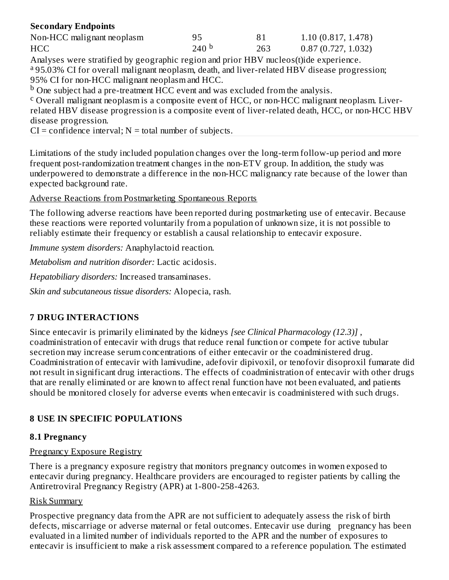### **Secondary Endpoints**

| Non-HCC malignant neoplasm | 95               |     | 1.10(0.817, 1.478) |
|----------------------------|------------------|-----|--------------------|
| <b>HCC</b>                 | 240 <sup>b</sup> | 263 | 0.87(0.727, 1.032) |

Analyses were stratified by geographic region and prior HBV nucleos(t)ide experience. <sup>a</sup> 95.03% CI for overall malignant neoplasm, death, and liver-related HBV disease progression; 95% CI for non-HCC malignant neoplasm and HCC.

 $^{\rm b}$  One subject had a pre-treatment HCC event and was excluded from the analysis.

<sup>c</sup> Overall malignant neoplasm is a composite event of HCC, or non-HCC malignant neoplasm. Liverrelated HBV disease progression is a composite event of liver-related death, HCC, or non-HCC HBV disease progression.

 $CI = confidence$  interval;  $N =$  total number of subjects.

Limitations of the study included population changes over the long-term follow-up period and more frequent post-randomization treatment changes in the non-ETV group. In addition, the study was underpowered to demonstrate a difference in the non-HCC malignancy rate because of the lower than expected background rate.

Adverse Reactions from Postmarketing Spontaneous Reports

The following adverse reactions have been reported during postmarketing use of entecavir. Because these reactions were reported voluntarily from a population of unknown size, it is not possible to reliably estimate their frequency or establish a causal relationship to entecavir exposure.

*Immune system disorders:* Anaphylactoid reaction.

*Metabolism and nutrition disorder:* Lactic acidosis.

*Hepatobiliary disorders:* Increased transaminases.

*Skin and subcutaneous tissue disorders:* Alopecia, rash.

## **7 DRUG INTERACTIONS**

Since entecavir is primarily eliminated by the kidneys *[see Clinical Pharmacology (12.3)]* , coadministration of entecavir with drugs that reduce renal function or compete for active tubular secretion may increase serum concentrations of either entecavir or the coadministered drug. Coadministration of entecavir with lamivudine, adefovir dipivoxil, or tenofovir disoproxil fumarate did not result in significant drug interactions. The effects of coadministration of entecavir with other drugs that are renally eliminated or are known to affect renal function have not been evaluated, and patients should be monitored closely for adverse events when entecavir is coadministered with such drugs.

## **8 USE IN SPECIFIC POPULATIONS**

#### **8.1 Pregnancy**

#### Pregnancy Exposure Registry

There is a pregnancy exposure registry that monitors pregnancy outcomes in women exposed to entecavir during pregnancy. Healthcare providers are encouraged to register patients by calling the Antiretroviral Pregnancy Registry (APR) at 1-800-258-4263.

#### Risk Summary

Prospective pregnancy data from the APR are not sufficient to adequately assess the risk of birth defects, miscarriage or adverse maternal or fetal outcomes. Entecavir use during pregnancy has been evaluated in a limited number of individuals reported to the APR and the number of exposures to entecavir is insufficient to make a risk assessment compared to a reference population. The estimated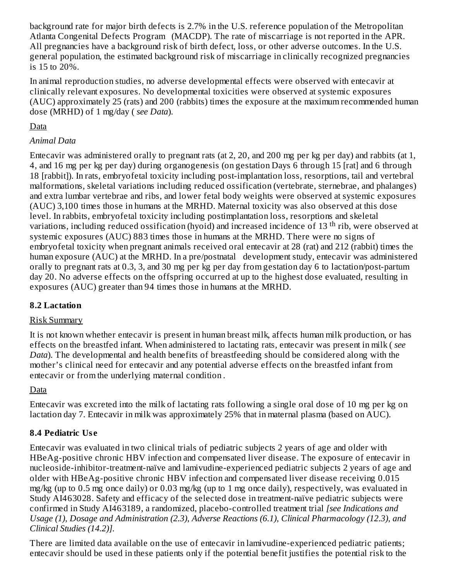background rate for major birth defects is 2.7% in the U.S. reference population of the Metropolitan Atlanta Congenital Defects Program (MACDP). The rate of miscarriage is not reported in the APR. All pregnancies have a background risk of birth defect, loss, or other adverse outcomes. In the U.S. general population, the estimated background risk of miscarriage in clinically recognized pregnancies is 15 to 20%.

In animal reproduction studies, no adverse developmental effects were observed with entecavir at clinically relevant exposures. No developmental toxicities were observed at systemic exposures (AUC) approximately 25 (rats) and 200 (rabbits) times the exposure at the maximum recommended human dose (MRHD) of 1 mg/day ( *see Data*).

## Data

## *Animal Data*

Entecavir was administered orally to pregnant rats (at 2, 20, and 200 mg per kg per day) and rabbits (at 1, 4, and 16 mg per kg per day) during organogenesis (on gestation Days 6 through 15 [rat] and 6 through 18 [rabbit]). In rats, embryofetal toxicity including post-implantation loss, resorptions, tail and vertebral malformations, skeletal variations including reduced ossification (vertebrate, sternebrae, and phalanges) and extra lumbar vertebrae and ribs, and lower fetal body weights were observed at systemic exposures (AUC) 3,100 times those in humans at the MRHD. Maternal toxicity was also observed at this dose level. In rabbits, embryofetal toxicity including postimplantation loss, resorptions and skeletal variations, including reduced ossification (hyoid) and increased incidence of 13 <sup>th</sup> rib, were observed at systemic exposures (AUC) 883 times those in humans at the MRHD. There were no signs of embryofetal toxicity when pregnant animals received oral entecavir at 28 (rat) and 212 (rabbit) times the human exposure (AUC) at the MRHD. In a pre/postnatal development study, entecavir was administered orally to pregnant rats at 0.3, 3, and 30 mg per kg per day from gestation day 6 to lactation/post-partum day 20. No adverse effects on the offspring occurred at up to the highest dose evaluated, resulting in exposures (AUC) greater than 94 times those in humans at the MRHD.

## **8.2 Lactation**

## Risk Summary

It is not known whether entecavir is present in human breast milk, affects human milk production, or has effects on the breastfed infant. When administered to lactating rats, entecavir was present in milk ( *see Data*). The developmental and health benefits of breastfeeding should be considered along with the mother's clinical need for entecavir and any potential adverse effects on the breastfed infant from entecavir or from the underlying maternal condition *.*

## Data

Entecavir was excreted into the milk of lactating rats following a single oral dose of 10 mg per kg on lactation day 7. Entecavir in milk was approximately 25% that in maternal plasma (based on AUC).

## **8.4 Pediatric Us e**

Entecavir was evaluated in two clinical trials of pediatric subjects 2 years of age and older with HBeAg-positive chronic HBV infection and compensated liver disease. The exposure of entecavir in nucleoside-inhibitor-treatment-naïve and lamivudine-experienced pediatric subjects 2 years of age and older with HBeAg-positive chronic HBV infection and compensated liver disease receiving 0.015 mg/kg (up to 0.5 mg once daily) or 0.03 mg/kg (up to 1 mg once daily), respectively, was evaluated in Study AI463028. Safety and efficacy of the selected dose in treatment-naïve pediatric subjects were confirmed in Study AI463189, a randomized, placebo-controlled treatment trial *[see Indications and Usage (1), Dosage and Administration (2.3), Adverse Reactions (6.1), Clinical Pharmacology (12.3), and Clinical Studies (14.2)].*

There are limited data available on the use of entecavir in lamivudine-experienced pediatric patients; entecavir should be used in these patients only if the potential benefit justifies the potential risk to the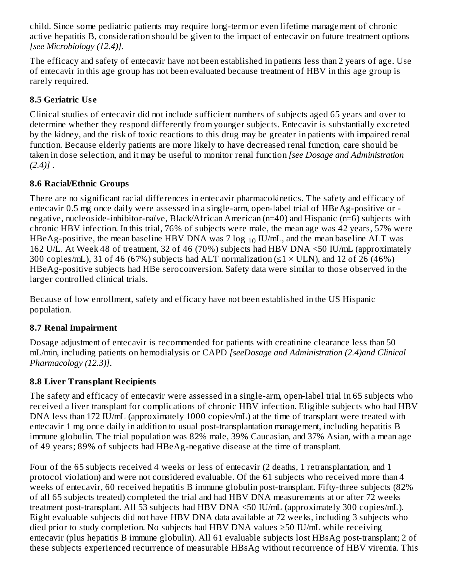child. Since some pediatric patients may require long-term or even lifetime management of chronic active hepatitis B, consideration should be given to the impact of entecavir on future treatment options *[see Microbiology (12.4)].*

The efficacy and safety of entecavir have not been established in patients less than 2 years of age. Use of entecavir in this age group has not been evaluated because treatment of HBV in this age group is rarely required.

## **8.5 Geriatric Us e**

Clinical studies of entecavir did not include sufficient numbers of subjects aged 65 years and over to determine whether they respond differently from younger subjects. Entecavir is substantially excreted by the kidney, and the risk of toxic reactions to this drug may be greater in patients with impaired renal function. Because elderly patients are more likely to have decreased renal function, care should be taken in dose selection, and it may be useful to monitor renal function *[see Dosage and Administration (2.4)]* .

## **8.6 Racial/Ethnic Groups**

There are no significant racial differences in entecavir pharmacokinetics. The safety and efficacy of entecavir 0.5 mg once daily were assessed in a single-arm, open-label trial of HBeAg-positive or negative, nucleoside-inhibitor-naïve, Black/African American (n=40) and Hispanic (n=6) subjects with chronic HBV infection. In this trial, 76% of subjects were male, the mean age was 42 years, 57% were HBeAg-positive, the mean baseline HBV DNA was 7  $\log_{10}$  IU/mL, and the mean baseline ALT was 162 U/L. At Week 48 of treatment, 32 of 46 (70%) subjects had HBV DNA <50 IU/mL (approximately 300 copies/mL), 31 of 46 (67%) subjects had ALT normalization ( $\leq$ 1 × ULN), and 12 of 26 (46%) HBeAg-positive subjects had HBe seroconversion. Safety data were similar to those observed in the larger controlled clinical trials.

Because of low enrollment, safety and efficacy have not been established in the US Hispanic population.

## **8.7 Renal Impairment**

Dosage adjustment of entecavir is recommended for patients with creatinine clearance less than 50 mL/min, including patients on hemodialysis or CAPD *[seeDosage and Administration (2.4)and Clinical Pharmacology (12.3)]*.

## **8.8 Liver Transplant Recipients**

The safety and efficacy of entecavir were assessed in a single-arm, open-label trial in 65 subjects who received a liver transplant for complications of chronic HBV infection. Eligible subjects who had HBV DNA less than 172 IU/mL (approximately 1000 copies/mL) at the time of transplant were treated with entecavir 1 mg once daily in addition to usual post-transplantation management, including hepatitis B immune globulin. The trial population was 82% male, 39% Caucasian, and 37% Asian, with a mean age of 49 years; 89% of subjects had HBeAg-negative disease at the time of transplant.

Four of the 65 subjects received 4 weeks or less of entecavir (2 deaths, 1 retransplantation, and 1 protocol violation) and were not considered evaluable. Of the 61 subjects who received more than 4 weeks of entecavir, 60 received hepatitis B immune globulin post-transplant. Fifty-three subjects (82% of all 65 subjects treated) completed the trial and had HBV DNA measurements at or after 72 weeks treatment post-transplant. All 53 subjects had HBV DNA <50 IU/mL (approximately 300 copies/mL). Eight evaluable subjects did not have HBV DNA data available at 72 weeks, including 3 subjects who died prior to study completion. No subjects had HBV DNA values ≥50 IU/mL while receiving entecavir (plus hepatitis B immune globulin). All 61 evaluable subjects lost HBsAg post-transplant; 2 of these subjects experienced recurrence of measurable HBsAg without recurrence of HBV viremia. This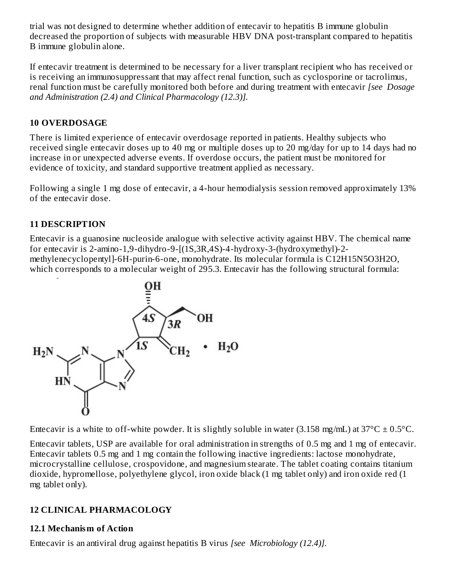trial was not designed to determine whether addition of entecavir to hepatitis B immune globulin decreased the proportion of subjects with measurable HBV DNA post-transplant compared to hepatitis B immune globulin alone.

If entecavir treatment is determined to be necessary for a liver transplant recipient who has received or is receiving an immunosuppressant that may affect renal function, such as cyclosporine or tacrolimus, renal function must be carefully monitored both before and during treatment with entecavir *[see Dosage and Administration (2.4) and Clinical Pharmacology (12.3)].*

### **10 OVERDOSAGE**

There is limited experience of entecavir overdosage reported in patients. Healthy subjects who received single entecavir doses up to 40 mg or multiple doses up to 20 mg/day for up to 14 days had no increase in or unexpected adverse events. If overdose occurs, the patient must be monitored for evidence of toxicity, and standard supportive treatment applied as necessary.

Following a single 1 mg dose of entecavir, a 4-hour hemodialysis session removed approximately 13% of the entecavir dose.

### **11 DESCRIPTION**

Entecavir is a guanosine nucleoside analogue with selective activity against HBV. The chemical name for entecavir is 2-amino-1,9-dihydro-9-[(1S,3R,4S)-4-hydroxy-3-(hydroxymethyl)-2 methylenecyclopentyl]-6H-purin-6-one, monohydrate. Its molecular formula is C12H15N5O3H2O, which corresponds to a molecular weight of 295.3. Entecavir has the following structural formula:



Entecavir is a white to off-white powder. It is slightly soluble in water (3.158 mg/mL) at  $37^{\circ}$ C  $\pm$  0.5°C.

Entecavir tablets, USP are available for oral administration in strengths of 0.5 mg and 1 mg of entecavir. Entecavir tablets 0.5 mg and 1 mg contain the following inactive ingredients: lactose monohydrate, microcrystalline cellulose, crospovidone, and magnesium stearate. The tablet coating contains titanium dioxide, hypromellose, polyethylene glycol, iron oxide black (1 mg tablet only) and iron oxide red (1 mg tablet only).

## **12 CLINICAL PHARMACOLOGY**

## **12.1 Mechanism of Action**

Entecavir is an antiviral drug against hepatitis B virus *[see Microbiology (12.4)].*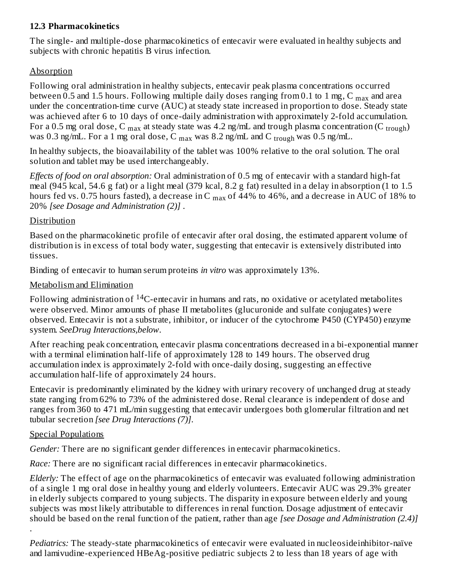### **12.3 Pharmacokinetics**

The single- and multiple-dose pharmacokinetics of entecavir were evaluated in healthy subjects and subjects with chronic hepatitis B virus infection.

### Absorption

Following oral administration in healthy subjects, entecavir peak plasma concentrations occurred between 0.5 and 1.5 hours. Following multiple daily doses ranging from 0.1 to 1 mg, C  $_{\rm max}$  and area under the concentration-time curve (AUC) at steady state increased in proportion to dose. Steady state was achieved after 6 to 10 days of once-daily administration with approximately 2-fold accumulation. For a 0.5 mg oral dose, C  $_{\rm max}$  at steady state was 4.2 ng/mL and trough plasma concentration (C  $_{\rm trough}$ ) was 0.3 ng/mL. For a 1 mg oral dose, C  $_{\rm max}$  was 8.2 ng/mL and C  $_{\rm trough}$  was 0.5 ng/mL.

In healthy subjects, the bioavailability of the tablet was 100% relative to the oral solution. The oral solution and tablet may be used interchangeably.

*Effects of food on oral absorption:* Oral administration of 0.5 mg of entecavir with a standard high-fat meal (945 kcal, 54.6 g fat) or a light meal (379 kcal, 8.2 g fat) resulted in a delay in absorption (1 to 1.5 hours fed vs. 0.75 hours fasted), a decrease in C  $_{\rm max}$  of 44% to 46%, and a decrease in AUC of 18% to 20% *[see Dosage and Administration (2)]* .

#### Distribution

Based on the pharmacokinetic profile of entecavir after oral dosing, the estimated apparent volume of distribution is in excess of total body water, suggesting that entecavir is extensively distributed into tissues.

Binding of entecavir to human serum proteins *in vitro* was approximately 13%.

#### Metabolism and Elimination

Following administration of  $^{14}$ C-entecavir in humans and rats, no oxidative or acetylated metabolites were observed. Minor amounts of phase II metabolites (glucuronide and sulfate conjugates) were observed. Entecavir is not a substrate, inhibitor, or inducer of the cytochrome P450 (CYP450) enzyme system. *SeeDrug Interactions,below*.

After reaching peak concentration, entecavir plasma concentrations decreased in a bi-exponential manner with a terminal elimination half-life of approximately 128 to 149 hours. The observed drug accumulation index is approximately 2-fold with once-daily dosing, suggesting an effective accumulation half-life of approximately 24 hours.

Entecavir is predominantly eliminated by the kidney with urinary recovery of unchanged drug at steady state ranging from 62% to 73% of the administered dose. Renal clearance is independent of dose and ranges from 360 to 471 mL/min suggesting that entecavir undergoes both glomerular filtration and net tubular secretion *[see Drug Interactions (7)]*.

#### Special Populations

*Gender:* There are no significant gender differences in entecavir pharmacokinetics.

*Race:* There are no significant racial differences in entecavir pharmacokinetics.

*Elderly:* The effect of age on the pharmacokinetics of entecavir was evaluated following administration of a single 1 mg oral dose in healthy young and elderly volunteers. Entecavir AUC was 29.3% greater in elderly subjects compared to young subjects. The disparity in exposure between elderly and young subjects was most likely attributable to differences in renal function. Dosage adjustment of entecavir should be based on the renal function of the patient, rather than age *[see Dosage and Administration (2.4)]* .

*Pediatrics:* The steady-state pharmacokinetics of entecavir were evaluated in nucleosideinhibitor-naïve and lamivudine-experienced HBeAg-positive pediatric subjects 2 to less than 18 years of age with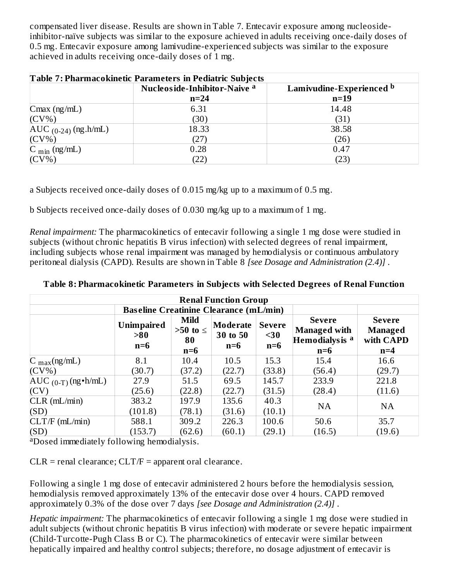compensated liver disease. Results are shown in Table 7. Entecavir exposure among nucleosideinhibitor-naïve subjects was similar to the exposure achieved in adults receiving once-daily doses of 0.5 mg. Entecavir exposure among lamivudine-experienced subjects was similar to the exposure achieved in adults receiving once-daily doses of 1 mg.

| <b>Table 7: Pharmacokinetic Parameters in Pediatric Subjects</b> |                                                          |        |  |  |  |  |  |
|------------------------------------------------------------------|----------------------------------------------------------|--------|--|--|--|--|--|
|                                                                  | Nucleoside-Inhibitor-Naive a<br>Lamivudine-Experienced b |        |  |  |  |  |  |
|                                                                  | $n=24$                                                   | $n=19$ |  |  |  |  |  |
| $C$ max (ng/mL)                                                  | 6.31                                                     | 14.48  |  |  |  |  |  |
| $(CV\%)$                                                         | (30)                                                     | (31)   |  |  |  |  |  |
| $AUC_{(0-24)} (ng.h/mL)$                                         | 18.33                                                    | 38.58  |  |  |  |  |  |
| $(CV\%)$                                                         | (27)                                                     | (26)   |  |  |  |  |  |
| $C_{\text{min}}$ (ng/mL)                                         | 0.28                                                     | 0.47   |  |  |  |  |  |
| $(CV\%)$                                                         | (22)                                                     | (23)   |  |  |  |  |  |

a Subjects received once-daily doses of 0.015 mg/kg up to a maximum of 0.5 mg.

b Subjects received once-daily doses of 0.030 mg/kg up to a maximum of 1 mg.

*Renal impairment:* The pharmacokinetics of entecavir following a single 1 mg dose were studied in subjects (without chronic hepatitis B virus infection) with selected degrees of renal impairment, including subjects whose renal impairment was managed by hemodialysis or continuous ambulatory peritoneal dialysis (CAPD). Results are shown in Table 8 *[see Dosage and Administration (2.4)]* .

| <b>Renal Function Group</b>                                                                                                                                                                                                                                                                 |         |        |        |        |           |           |  |
|---------------------------------------------------------------------------------------------------------------------------------------------------------------------------------------------------------------------------------------------------------------------------------------------|---------|--------|--------|--------|-----------|-----------|--|
| <b>Baseline Creatinine Clearance (mL/min)</b>                                                                                                                                                                                                                                               |         |        |        |        |           |           |  |
| <b>Mild</b><br><b>Severe</b><br><b>Severe</b><br><b>Unimpaired</b><br><b>Moderate</b><br><b>Severe</b><br><b>Managed with</b><br>$>50$ to $\leq$<br><b>Managed</b><br>>80<br>30 to 50<br>$30$<br>Hemodialys is <sup>a</sup><br>with CAPD<br>80<br>$n=6$<br>$n=6$<br>$n=6$<br>$n=6$<br>$n=6$ |         |        |        |        |           |           |  |
| $C_{max}(ng/mL)$                                                                                                                                                                                                                                                                            | 8.1     | 10.4   | 10.5   | 15.3   | 15.4      | 16.6      |  |
| $(CV\%)$                                                                                                                                                                                                                                                                                    | (30.7)  | (37.2) | (22.7) | (33.8) | (56.4)    | (29.7)    |  |
| $AUC_{(0-T)}(ng\cdot h/mL)$                                                                                                                                                                                                                                                                 | 27.9    | 51.5   | 69.5   | 145.7  | 233.9     | 221.8     |  |
| (CV)                                                                                                                                                                                                                                                                                        | (25.6)  | (22.8) | (22.7) | (31.5) | (28.4)    | (11.6)    |  |
| $CLR$ ( $mL/min$ )                                                                                                                                                                                                                                                                          | 383.2   | 197.9  | 135.6  | 40.3   | <b>NA</b> | <b>NA</b> |  |
| (SD)                                                                                                                                                                                                                                                                                        | (101.8) | (78.1) | (31.6) | (10.1) |           |           |  |
| CLT/F (mL/min)                                                                                                                                                                                                                                                                              | 588.1   | 309.2  | 226.3  | 100.6  | 50.6      | 35.7      |  |
| (SD)                                                                                                                                                                                                                                                                                        | (153.7) | (62.6) | (60.1) | (29.1) | (16.5)    | (19.6)    |  |

**Table 8: Pharmacokinetic Parameters in Subjects with Selected Degrees of Renal Function**

aDosed immediately following hemodialysis.

 $CLR$  = renal clearance;  $CLT/F$  = apparent oral clearance.

Following a single 1 mg dose of entecavir administered 2 hours before the hemodialysis session, hemodialysis removed approximately 13% of the entecavir dose over 4 hours. CAPD removed approximately 0.3% of the dose over 7 days *[see Dosage and Administration (2.4)]* .

*Hepatic impairment:* The pharmacokinetics of entecavir following a single 1 mg dose were studied in adult subjects (without chronic hepatitis B virus infection) with moderate or severe hepatic impairment (Child-Turcotte-Pugh Class B or C). The pharmacokinetics of entecavir were similar between hepatically impaired and healthy control subjects; therefore, no dosage adjustment of entecavir is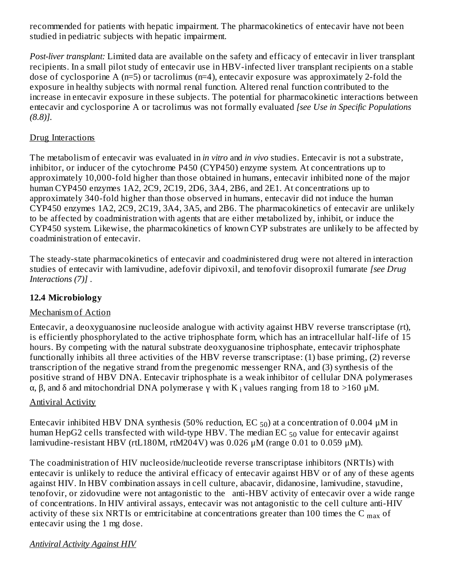recommended for patients with hepatic impairment. The pharmacokinetics of entecavir have not been studied in pediatric subjects with hepatic impairment.

*Post-liver transplant:* Limited data are available on the safety and efficacy of entecavir in liver transplant recipients. In a small pilot study of entecavir use in HBV-infected liver transplant recipients on a stable dose of cyclosporine A (n=5) or tacrolimus (n=4), entecavir exposure was approximately 2-fold the exposure in healthy subjects with normal renal function. Altered renal function contributed to the increase in entecavir exposure in these subjects. The potential for pharmacokinetic interactions between entecavir and cyclosporine A or tacrolimus was not formally evaluated *[see Use in Specific Populations (8.8)].*

#### Drug Interactions

The metabolism of entecavir was evaluated in *in vitro* and *in vivo* studies. Entecavir is not a substrate, inhibitor, or inducer of the cytochrome P450 (CYP450) enzyme system. At concentrations up to approximately 10,000-fold higher than those obtained in humans, entecavir inhibited none of the major human CYP450 enzymes 1A2, 2C9, 2C19, 2D6, 3A4, 2B6, and 2E1. At concentrations up to approximately 340-fold higher than those observed in humans, entecavir did not induce the human CYP450 enzymes 1A2, 2C9, 2C19, 3A4, 3A5, and 2B6. The pharmacokinetics of entecavir are unlikely to be affected by coadministration with agents that are either metabolized by, inhibit, or induce the CYP450 system. Likewise, the pharmacokinetics of known CYP substrates are unlikely to be affected by coadministration of entecavir.

The steady-state pharmacokinetics of entecavir and coadministered drug were not altered in interaction studies of entecavir with lamivudine, adefovir dipivoxil, and tenofovir disoproxil fumarate *[see Drug Interactions (7)]* .

## **12.4 Microbiology**

## Mechanism of Action

Entecavir, a deoxyguanosine nucleoside analogue with activity against HBV reverse transcriptase (rt), is efficiently phosphorylated to the active triphosphate form, which has an intracellular half-life of 15 hours. By competing with the natural substrate deoxyguanosine triphosphate, entecavir triphosphate functionally inhibits all three activities of the HBV reverse transcriptase: (1) base priming, (2) reverse transcription of the negative strand from the pregenomic messenger RNA, and (3) synthesis of the positive strand of HBV DNA. Entecavir triphosphate is a weak inhibitor of cellular DNA polymerases α, β, and δ and mitochondrial DNA polymerase  $\gamma$  with K  $\rm _i$  values ranging from 18 to >160 μM.

#### **Antiviral Activity**

Entecavir inhibited HBV DNA synthesis (50% reduction, EC  $_{50}$ ) at a concentration of 0.004  $\mu$ M in human HepG2 cells transfected with wild-type HBV. The median EC  $_{50}$  value for entecavir against lamivudine-resistant HBV (rtL180M, rtM204V) was 0.026  $\mu$ M (range 0.01 to 0.059  $\mu$ M).

The coadministration of HIV nucleoside/nucleotide reverse transcriptase inhibitors (NRTIs) with entecavir is unlikely to reduce the antiviral efficacy of entecavir against HBV or of any of these agents against HIV. In HBV combination assays in cell culture, abacavir, didanosine, lamivudine, stavudine, tenofovir, or zidovudine were not antagonistic to the anti-HBV activity of entecavir over a wide range of concentrations. In HIV antiviral assays, entecavir was not antagonistic to the cell culture anti-HIV activity of these six NRTIs or emtricitabine at concentrations greater than 100 times the C  $_{\rm max}$  of entecavir using the 1 mg dose.

## *Antiviral Activity Against HIV*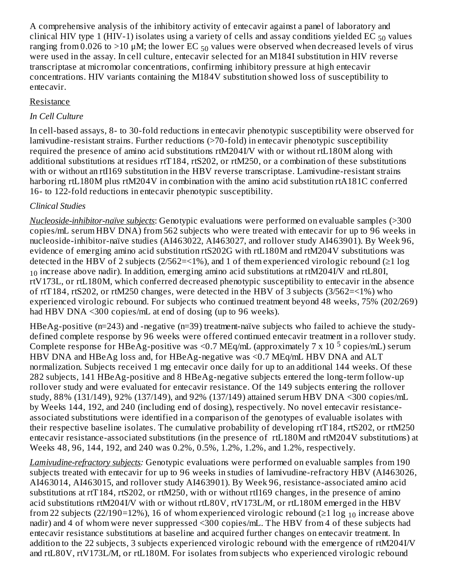A comprehensive analysis of the inhibitory activity of entecavir against a panel of laboratory and clinical HIV type 1 (HIV-1) isolates using a variety of cells and assay conditions yielded EC  $_{50}$  values ranging from 0.026 to >10  $\mu$ M; the lower EC  $_{50}$  values were observed when decreased levels of virus were used in the assay. In cell culture, entecavir selected for an M184I substitution in HIV reverse transcriptase at micromolar concentrations, confirming inhibitory pressure at high entecavir concentrations. HIV variants containing the M184V substitution showed loss of susceptibility to entecavir.

### Resistance

### *In Cell Culture*

In cell-based assays, 8- to 30-fold reductions in entecavir phenotypic susceptibility were observed for lamivudine-resistant strains. Further reductions (>70-fold) in entecavir phenotypic susceptibility required the presence of amino acid substitutions rtM204I/V with or without rtL180M along with additional substitutions at residues rtT184, rtS202, or rtM250, or a combination of these substitutions with or without an rtI169 substitution in the HBV reverse transcriptase. Lamivudine-resistant strains harboring rtL180M plus rtM204V in combination with the amino acid substitution rtA181C conferred 16- to 122-fold reductions in entecavir phenotypic susceptibility.

## *Clinical Studies*

*Nucleoside-inhibitor-naïve subjects*: Genotypic evaluations were performed on evaluable samples (>300 copies/mL serum HBV DNA) from 562 subjects who were treated with entecavir for up to 96 weeks in nucleoside-inhibitor-naïve studies (AI463022, AI463027, and rollover study AI463901). By Week 96, evidence of emerging amino acid substitution rtS202G with rtL180M and rtM204V substitutions was detected in the HBV of 2 subjects (2/562=<1%), and 1 of them experienced virologic rebound ( $\geq$ 1 log  $_{10}$  increase above nadir). In addition, emerging amino acid substitutions at rtM204I/V and rtL80I, rtV173L, or rtL180M, which conferred decreased phenotypic susceptibility to entecavir in the absence of rtT184, rtS202, or rtM250 changes, were detected in the HBV of 3 subjects (3/562=<1%) who experienced virologic rebound. For subjects who continued treatment beyond 48 weeks, 75% (202/269) had HBV DNA <300 copies/mL at end of dosing (up to 96 weeks).

HBeAg-positive (n=243) and -negative (n=39) treatment-naïve subjects who failed to achieve the studydefined complete response by 96 weeks were offered continued entecavir treatment in a rollover study. Complete response for HBeAg-positive was <0.7 MEq/mL (approximately 7 x 10  $^5$  copies/mL) serum HBV DNA and HBeAg loss and, for HBeAg-negative was <0.7 MEq/mL HBV DNA and ALT normalization. Subjects received 1 mg entecavir once daily for up to an additional 144 weeks. Of these 282 subjects, 141 HBeAg-positive and 8 HBeAg-negative subjects entered the long-term follow-up rollover study and were evaluated for entecavir resistance. Of the 149 subjects entering the rollover study, 88% (131/149), 92% (137/149), and 92% (137/149) attained serum HBV DNA <300 copies/mL by Weeks 144, 192, and 240 (including end of dosing), respectively. No novel entecavir resistanceassociated substitutions were identified in a comparison of the genotypes of evaluable isolates with their respective baseline isolates. The cumulative probability of developing rtT184, rtS202, or rtM250 entecavir resistance-associated substitutions (in the presence of rtL180M and rtM204V substitutions) at Weeks 48, 96, 144, 192, and 240 was 0.2%, 0.5%, 1.2%, 1.2%, and 1.2%, respectively.

*Lamivudine-refractory subjects:* Genotypic evaluations were performed on evaluable samples from 190 subjects treated with entecavir for up to 96 weeks in studies of lamivudine-refractory HBV (AI463026, AI463014, AI463015, and rollover study AI463901). By Week 96, resistance-associated amino acid substitutions at rtT184, rtS202, or rtM250, with or without rtI169 changes, in the presence of amino acid substitutions rtM204I/V with or without rtL80V, rtV173L/M, or rtL180M emerged in the HBV from 22 subjects (22/190=12%), 16 of whom experienced virologic rebound (≥1 log  $_{10}$  increase above nadir) and 4 of whom were never suppressed <300 copies/mL. The HBV from 4 of these subjects had entecavir resistance substitutions at baseline and acquired further changes on entecavir treatment. In addition to the 22 subjects, 3 subjects experienced virologic rebound with the emergence of rtM204I/V and rtL80V, rtV173L/M, or rtL180M. For isolates from subjects who experienced virologic rebound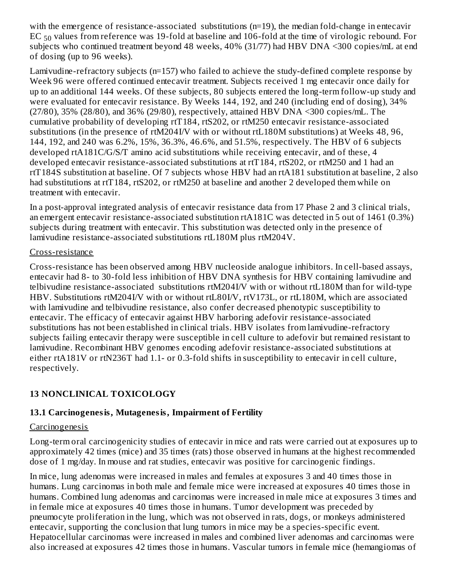with the emergence of resistance-associated substitutions (n=19), the median fold-change in entecavir  $\rm EC$   $_{50}$  values from reference was 19-fold at baseline and 106-fold at the time of virologic rebound. For subjects who continued treatment beyond 48 weeks, 40% (31/77) had HBV DNA <300 copies/mL at end of dosing (up to 96 weeks).

Lamivudine-refractory subjects (n=157) who failed to achieve the study-defined complete response by Week 96 were offered continued entecavir treatment. Subjects received 1 mg entecavir once daily for up to an additional 144 weeks. Of these subjects, 80 subjects entered the long-term follow-up study and were evaluated for entecavir resistance. By Weeks 144, 192, and 240 (including end of dosing), 34% (27/80), 35% (28/80), and 36% (29/80), respectively, attained HBV DNA <300 copies/mL. The cumulative probability of developing rtT184, rtS202, or rtM250 entecavir resistance-associated substitutions (in the presence of rtM204I/V with or without rtL180M substitutions) at Weeks 48, 96, 144, 192, and 240 was 6.2%, 15%, 36.3%, 46.6%, and 51.5%, respectively. The HBV of 6 subjects developed rtA181C/G/S/T amino acid substitutions while receiving entecavir, and of these, 4 developed entecavir resistance-associated substitutions at rtT184, rtS202, or rtM250 and 1 had an rtT184S substitution at baseline. Of 7 subjects whose HBV had an rtA181 substitution at baseline, 2 also had substitutions at rtT184, rtS202, or rtM250 at baseline and another 2 developed them while on treatment with entecavir.

In a post-approval integrated analysis of entecavir resistance data from 17 Phase 2 and 3 clinical trials, an emergent entecavir resistance-associated substitution rtA181C was detected in 5 out of 1461 (0.3%) subjects during treatment with entecavir. This substitution was detected only in the presence of lamivudine resistance-associated substitutions rtL180M plus rtM204V.

#### Cross-resistance

Cross-resistance has been observed among HBV nucleoside analogue inhibitors. In cell-based assays, entecavir had 8- to 30-fold less inhibition of HBV DNA synthesis for HBV containing lamivudine and telbivudine resistance-associated substitutions rtM204I/V with or without rtL180M than for wild-type HBV. Substitutions rtM204I/V with or without rtL80I/V, rtV173L, or rtL180M, which are associated with lamivudine and telbivudine resistance, also confer decreased phenotypic susceptibility to entecavir. The efficacy of entecavir against HBV harboring adefovir resistance-associated substitutions has not been established in clinical trials. HBV isolates from lamivudine-refractory subjects failing entecavir therapy were susceptible in cell culture to adefovir but remained resistant to lamivudine. Recombinant HBV genomes encoding adefovir resistance-associated substitutions at either rtA181V or rtN236T had 1.1- or 0.3-fold shifts in susceptibility to entecavir in cell culture, respectively.

## **13 NONCLINICAL TOXICOLOGY**

## **13.1 Carcinogenesis, Mutagenesis, Impairment of Fertility**

#### **Carcinogenesis**

Long-term oral carcinogenicity studies of entecavir in mice and rats were carried out at exposures up to approximately 42 times (mice) and 35 times (rats) those observed in humans at the highest recommended dose of 1 mg/day. In mouse and rat studies, entecavir was positive for carcinogenic findings.

In mice, lung adenomas were increased in males and females at exposures 3 and 40 times those in humans. Lung carcinomas in both male and female mice were increased at exposures 40 times those in humans. Combined lung adenomas and carcinomas were increased in male mice at exposures 3 times and in female mice at exposures 40 times those in humans. Tumor development was preceded by pneumocyte proliferation in the lung, which was not observed in rats, dogs, or monkeys administered entecavir, supporting the conclusion that lung tumors in mice may be a species-specific event. Hepatocellular carcinomas were increased in males and combined liver adenomas and carcinomas were also increased at exposures 42 times those in humans. Vascular tumors in female mice (hemangiomas of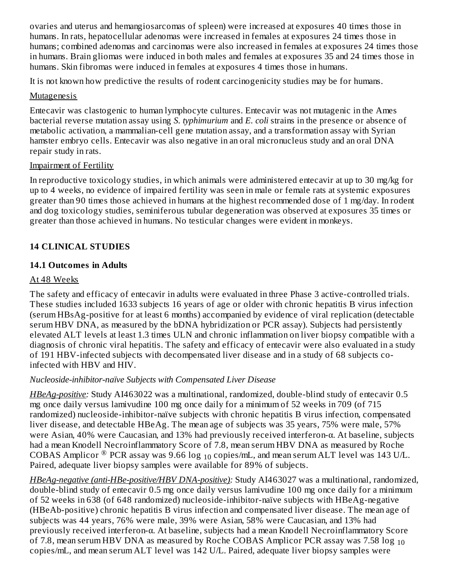ovaries and uterus and hemangiosarcomas of spleen) were increased at exposures 40 times those in humans. In rats, hepatocellular adenomas were increased in females at exposures 24 times those in humans; combined adenomas and carcinomas were also increased in females at exposures 24 times those in humans. Brain gliomas were induced in both males and females at exposures 35 and 24 times those in humans. Skin fibromas were induced in females at exposures 4 times those in humans.

It is not known how predictive the results of rodent carcinogenicity studies may be for humans.

## Mutagenesis

Entecavir was clastogenic to human lymphocyte cultures. Entecavir was not mutagenic in the Ames bacterial reverse mutation assay using *S. typhimurium* and *E. coli* strains in the presence or absence of metabolic activation, a mammalian-cell gene mutation assay, and a transformation assay with Syrian hamster embryo cells. Entecavir was also negative in an oral micronucleus study and an oral DNA repair study in rats.

## Impairment of Fertility

In reproductive toxicology studies, in which animals were administered entecavir at up to 30 mg/kg for up to 4 weeks, no evidence of impaired fertility was seen in male or female rats at systemic exposures greater than 90 times those achieved in humans at the highest recommended dose of 1 mg/day. In rodent and dog toxicology studies, seminiferous tubular degeneration was observed at exposures 35 times or greater than those achieved in humans. No testicular changes were evident in monkeys.

## **14 CLINICAL STUDIES**

## **14.1 Outcomes in Adults**

## At 48 Weeks

The safety and efficacy of entecavir in adults were evaluated in three Phase 3 active-controlled trials. These studies included 1633 subjects 16 years of age or older with chronic hepatitis B virus infection (serum HBsAg-positive for at least 6 months) accompanied by evidence of viral replication (detectable serum HBV DNA, as measured by the bDNA hybridization or PCR assay). Subjects had persistently elevated ALT levels at least 1.3 times ULN and chronic inflammation on liver biopsy compatible with a diagnosis of chronic viral hepatitis. The safety and efficacy of entecavir were also evaluated in a study of 191 HBV-infected subjects with decompensated liver disease and in a study of 68 subjects coinfected with HBV and HIV.

## *Nucleoside-inhibitor-naïve Subjects with Compensated Liver Disease*

*HBeAg-positive:* Study AI463022 was a multinational, randomized, double-blind study of entecavir 0.5 mg once daily versus lamivudine 100 mg once daily for a minimum of 52 weeks in 709 (of 715 randomized) nucleoside-inhibitor-naïve subjects with chronic hepatitis B virus infection, compensated liver disease, and detectable HBeAg. The mean age of subjects was 35 years, 75% were male, 57% were Asian, 40% were Caucasian, and 13% had previously received interferon-α. At baseline, subjects had a mean Knodell Necroinflammatory Score of 7.8, mean serum HBV DNA as measured by Roche COBAS Amplicor  $^\circledR$  PCR assay was 9.66 log  $_{10}$  copies/mL, and mean serum ALT level was 143 U/L. Paired, adequate liver biopsy samples were available for 89% of subjects.

*HBeAg-negative (anti-HBe-positive/HBV DNA-positive):* Study AI463027 was a multinational, randomized, double-blind study of entecavir 0.5 mg once daily versus lamivudine 100 mg once daily for a minimum of 52 weeks in 638 (of 648 randomized) nucleoside-inhibitor-naïve subjects with HBeAg-negative (HBeAb-positive) chronic hepatitis B virus infection and compensated liver disease. The mean age of subjects was 44 years, 76% were male, 39% were Asian, 58% were Caucasian, and 13% had previously received interferon-α. At baseline, subjects had a mean Knodell Necroinflammatory Score of 7.8, mean serum HBV DNA as measured by Roche COBAS Amplicor PCR assay was 7.58  $\log_{10}$ copies/mL, and mean serum ALT level was 142 U/L. Paired, adequate liver biopsy samples were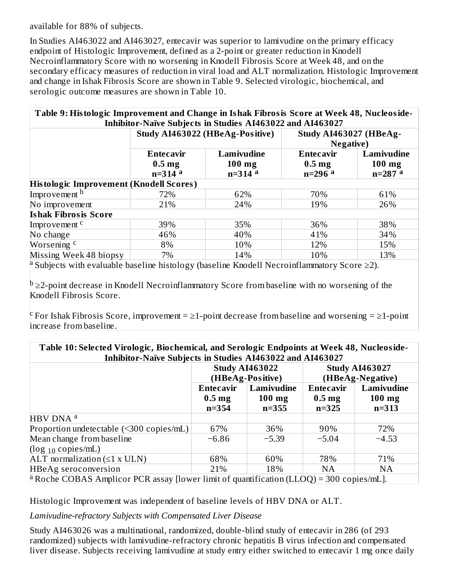available for 88% of subjects.

In Studies AI463022 and AI463027, entecavir was superior to lamivudine on the primary efficacy endpoint of Histologic Improvement, defined as a 2-point or greater reduction in Knodell Necroinflammatory Score with no worsening in Knodell Fibrosis Score at Week 48, and on the secondary efficacy measures of reduction in viral load and ALT normalization. Histologic Improvement and change in Ishak Fibrosis Score are shown in Table 9. Selected virologic, biochemical, and serologic outcome measures are shown in Table 10.

| Table 9: Histologic Improvement and Change in Ishak Fibrosis Score at Week 48, Nucleoside- |                   |                                                                  |                        |            |
|--------------------------------------------------------------------------------------------|-------------------|------------------------------------------------------------------|------------------------|------------|
|                                                                                            |                   | <b>Inhibitor-Naïve Subjects in Studies AI463022 and AI463027</b> |                        |            |
|                                                                                            |                   | Study AI463022 (HBeAg-Positive)                                  | Study AI463027 (HBeAg- |            |
|                                                                                            |                   |                                                                  | <b>Negative</b> )      |            |
|                                                                                            | <b>Entecavir</b>  | Lamivudine                                                       | <b>Entecavir</b>       | Lamivudine |
|                                                                                            | 0.5 <sub>mg</sub> | $100$ mg                                                         | 0.5 <sub>mg</sub>      | $100$ mg   |
|                                                                                            | $n=314$ a         | $n=314$ a                                                        | $n=296$ a              | $n=287$ a  |
| <b>Histologic Improvement (Knodell Scores)</b>                                             |                   |                                                                  |                        |            |
| Improvement <sup>b</sup>                                                                   | 72%               | 62%                                                              | 70%                    | 61%        |
| No improvement                                                                             | 21%               | 24%                                                              | 19%                    | 26%        |
| <b>Ishak Fibrosis Score</b>                                                                |                   |                                                                  |                        |            |
| Improvement <sup>c</sup>                                                                   | 39%               | 35%                                                              | 36%                    | 38%        |
| No change                                                                                  | 46%               | 40%                                                              | 41%                    | 34%        |
| Worsening <sup>c</sup>                                                                     | 8%                | 10%                                                              | 12%                    | 15%        |
| Missing Week 48 biopsy                                                                     | 7%                | 14%                                                              | 10%                    | 13%        |

a Subjects with evaluable baseline histology (baseline Knodell Necroinflammatory Score  $\geq$ 2).

 $^{\rm b}$  ≥2-point decrease in Knodell Necroinflammatory Score from baseline with no worsening of the Knodell Fibrosis Score.

 $\rm{c}$  For Ishak Fibrosis Score, improvement =  $\geq$ 1-point decrease from baseline and worsening =  $\geq$ 1-point increase from baseline.

| Table 10: Selected Virologic, Biochemical, and Serologic Endpoints at Week 48, Nucleoside-<br>Inhibitor-Naïve Subjects in Studies AI463022 and AI463027 |                   |                                           |                   |                                           |
|---------------------------------------------------------------------------------------------------------------------------------------------------------|-------------------|-------------------------------------------|-------------------|-------------------------------------------|
|                                                                                                                                                         |                   | <b>Study AI463022</b><br>(HBeAg-Positive) |                   | <b>Study AI463027</b><br>(HBeAg-Negative) |
|                                                                                                                                                         | <b>Entecavir</b>  | Lamivudine                                | Entecavir         | Lamivudine                                |
|                                                                                                                                                         | 0.5 <sub>mg</sub> | $100$ mg                                  | 0.5 <sub>mg</sub> | $100$ mg                                  |
|                                                                                                                                                         | $n = 354$         | $n = 355$                                 | $n=325$           | $n = 313$                                 |
| HBV DNA <sup>a</sup>                                                                                                                                    |                   |                                           |                   |                                           |
| Proportion undetectable (<300 copies/mL)                                                                                                                | 67%               | 36%                                       | 90%               | 72%                                       |
| Mean change from baseline                                                                                                                               | $-6.86$           | $-5.39$                                   | $-5.04$           | $-4.53$                                   |
| $(\log_{10} \text{copies/mL})$                                                                                                                          |                   |                                           |                   |                                           |
| ALT normalization $(\leq 1 \times ULN)$                                                                                                                 | 68%               | 60%                                       | 78%               | 71%                                       |
| <b>HBeAg</b> seroconversion                                                                                                                             | 21%               | 18%                                       | <b>NA</b>         | <b>NA</b>                                 |
| <sup>a</sup> Roche COBAS Amplicor PCR assay [lower limit of quantification (LLOQ) = 300 copies/mL].                                                     |                   |                                           |                   |                                           |

Histologic Improvement was independent of baseline levels of HBV DNA or ALT.

*Lamivudine-refractory Subjects with Compensated Liver Disease*

Study AI463026 was a multinational, randomized, double-blind study of entecavir in 286 (of 293 randomized) subjects with lamivudine-refractory chronic hepatitis B virus infection and compensated liver disease. Subjects receiving lamivudine at study entry either switched to entecavir 1 mg once daily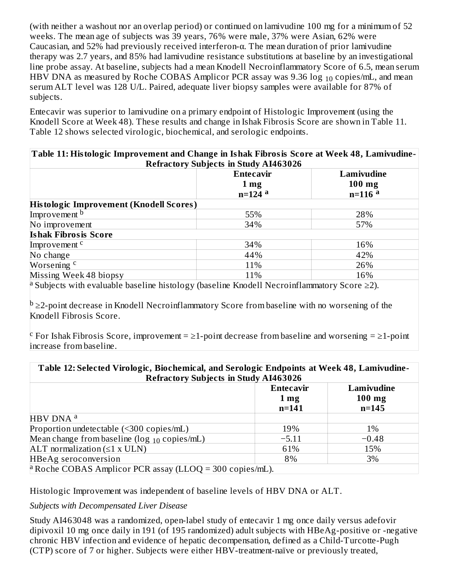(with neither a washout nor an overlap period) or continued on lamivudine 100 mg for a minimum of 52 weeks. The mean age of subjects was 39 years, 76% were male, 37% were Asian, 62% were Caucasian, and 52% had previously received interferon-α. The mean duration of prior lamivudine therapy was 2.7 years, and 85% had lamivudine resistance substitutions at baseline by an investigational line probe assay. At baseline, subjects had a mean Knodell Necroinflammatory Score of 6.5, mean serum HBV DNA as measured by Roche COBAS Amplicor PCR assay was 9.36  $\log_{10}$  copies/mL, and mean serum ALT level was 128 U/L. Paired, adequate liver biopsy samples were available for 87% of subjects.

Entecavir was superior to lamivudine on a primary endpoint of Histologic Improvement (using the Knodell Score at Week 48). These results and change in Ishak Fibrosis Score are shown in Table 11. Table 12 shows selected virologic, biochemical, and serologic endpoints.

| Table 11: Histologic Improvement and Change in Ishak Fibrosis Score at Week 48, Lamivudine- |                                              |            |
|---------------------------------------------------------------------------------------------|----------------------------------------------|------------|
|                                                                                             | <b>Refractory Subjects in Study AI463026</b> |            |
|                                                                                             | <b>Entecavir</b>                             | Lamivudine |
|                                                                                             | 1 <sub>mg</sub>                              | $100$ mg   |
|                                                                                             | $n=124$ <sup>a</sup>                         | $n=116$ a  |
| Histologic Improvement (Knodell Scores)                                                     |                                              |            |
| Improvement b                                                                               | 55%                                          | 28%        |
| No improvement                                                                              | 34%                                          | 57%        |
| <b>Ishak Fibrosis Score</b>                                                                 |                                              |            |
| Improvement <sup>c</sup>                                                                    | 34%                                          | 16%        |
| No change                                                                                   | 44%                                          | 42%        |
| Worsening <sup>c</sup>                                                                      | 11%                                          | 26%        |
| Missing Week 48 biopsy                                                                      | 11%                                          | 16%        |

a Subjects with evaluable baseline histology (baseline Knodell Necroinflammatory Score  $\geq$ 2).

 $^{\rm b}$  ≥2-point decrease in Knodell Necroinflammatory Score from baseline with no worsening of the Knodell Fibrosis Score.

 $\rm{c}$  For Ishak Fibrosis Score, improvement =  $\geq$ 1-point decrease from baseline and worsening =  $\geq$ 1-point increase from baseline.

| Table 12: Selected Virologic, Biochemical, and Serologic Endpoints at Week 48, Lamivudine-<br><b>Refractory Subjects in Study AI463026</b> |                                             |                                     |
|--------------------------------------------------------------------------------------------------------------------------------------------|---------------------------------------------|-------------------------------------|
|                                                                                                                                            | Entecavir<br>$1 \,\mathrm{mg}$<br>$n = 141$ | Lamivudine<br>$100$ mg<br>$n = 145$ |
| HBV DNA <sup>a</sup>                                                                                                                       |                                             |                                     |
| Proportion undetectable (<300 copies/mL)                                                                                                   | 19%                                         | $1\%$                               |
| Mean change from baseline ( $\log_{10}$ copies/mL)                                                                                         | $-5.11$                                     | $-0.48$                             |
| ALT normalization $(\leq 1 \times ULN)$                                                                                                    | 61%                                         | 15%                                 |
| <b>HBeAg</b> seroconversion                                                                                                                | 8%                                          | 3%                                  |
| <sup>a</sup> Roche COBAS Amplicor PCR assay (LLOQ = 300 copies/mL).                                                                        |                                             |                                     |

Histologic Improvement was independent of baseline levels of HBV DNA or ALT.

*Subjects with Decompensated Liver Disease*

Study AI463048 was a randomized, open-label study of entecavir 1 mg once daily versus adefovir dipivoxil 10 mg once daily in 191 (of 195 randomized) adult subjects with HBeAg-positive or -negative chronic HBV infection and evidence of hepatic decompensation, defined as a Child-Turcotte-Pugh (CTP) score of 7 or higher. Subjects were either HBV-treatment-naïve or previously treated,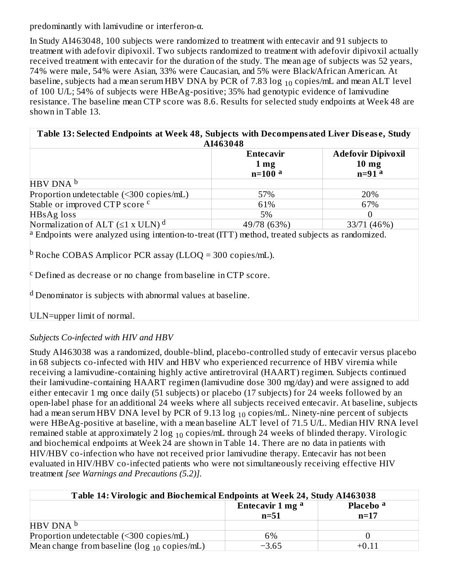predominantly with lamivudine or interferon-α.

In Study AI463048, 100 subjects were randomized to treatment with entecavir and 91 subjects to treatment with adefovir dipivoxil. Two subjects randomized to treatment with adefovir dipivoxil actually received treatment with entecavir for the duration of the study. The mean age of subjects was 52 years, 74% were male, 54% were Asian, 33% were Caucasian, and 5% were Black/African American. At baseline, subjects had a mean serum HBV DNA by PCR of 7.83  $\log_{10}$  copies/mL and mean ALT level of 100 U/L; 54% of subjects were HBeAg-positive; 35% had genotypic evidence of lamivudine resistance. The baseline mean CTP score was 8.6. Results for selected study endpoints at Week 48 are shown in Table 13.

**Table 13: Selected Endpoints at Week 48, Subjects with Decompensated Liver Dis eas e, Study AI463048**

|                                              | Entecavir       | <b>Adefovir Dipivoxil</b> |
|----------------------------------------------|-----------------|---------------------------|
|                                              | 1 <sub>mg</sub> | 10 <sub>mg</sub>          |
|                                              | $n=100$ a       | $n=91$ <sup>a</sup>       |
| HBV DNA b                                    |                 |                           |
| Proportion undetectable (<300 copies/mL)     | 57%             | 20%                       |
| Stable or improved CTP score <sup>c</sup>    | 61%             | 67%                       |
| HBsAg loss                                   | 5%              |                           |
| Normalization of ALT $(\leq 1 \times ULN)^d$ | 49/78 (63%)     | 33/71 (46%)               |

Endpoints were analyzed using intention-to-treat (ITT) method, treated subjects as randomized. a

 $^{\rm b}$  Roche COBAS Amplicor PCR assay (LLOQ = 300 copies/mL).

 $\rm c$  Defined as decrease or no change from baseline in CTP score.

 $^{\rm d}$  Denominator is subjects with abnormal values at baseline.

ULN=upper limit of normal.

## *Subjects Co-infected with HIV and HBV*

Study AI463038 was a randomized, double-blind, placebo-controlled study of entecavir versus placebo in 68 subjects co-infected with HIV and HBV who experienced recurrence of HBV viremia while receiving a lamivudine-containing highly active antiretroviral (HAART) regimen. Subjects continued their lamivudine-containing HAART regimen (lamivudine dose 300 mg/day) and were assigned to add either entecavir 1 mg once daily (51 subjects) or placebo (17 subjects) for 24 weeks followed by an open-label phase for an additional 24 weeks where all subjects received entecavir. At baseline, subjects had a mean serum HBV DNA level by PCR of 9.13  $\log_{10}$  copies/mL. Ninety-nine percent of subjects were HBeAg-positive at baseline, with a mean baseline ALT level of 71.5 U/L. Median HIV RNA level remained stable at approximately 2  $\log_{10}$  copies/mL through 24 weeks of blinded therapy. Virologic and biochemical endpoints at Week 24 are shown in Table 14. There are no data in patients with HIV/HBV co-infection who have not received prior lamivudine therapy. Entecavir has not been evaluated in HIV/HBV co-infected patients who were not simultaneously receiving effective HIV treatment *[see Warnings and Precautions (5.2)].*

| Table 14: Virologic and Biochemical Endpoints at Week 24, Study AI463038 |                             |                      |
|--------------------------------------------------------------------------|-----------------------------|----------------------|
|                                                                          | Entecavir 1 mg <sup>a</sup> | Placebo <sup>a</sup> |
|                                                                          | $n=51$                      | $n=17$               |
| HBV DNA <sup>b</sup>                                                     |                             |                      |
| Proportion undetectable (<300 copies/mL)                                 | 6%                          |                      |
| Mean change from baseline ( $\log_{10}$ copies/mL)                       | $-3.65$                     | +0.11                |
|                                                                          |                             |                      |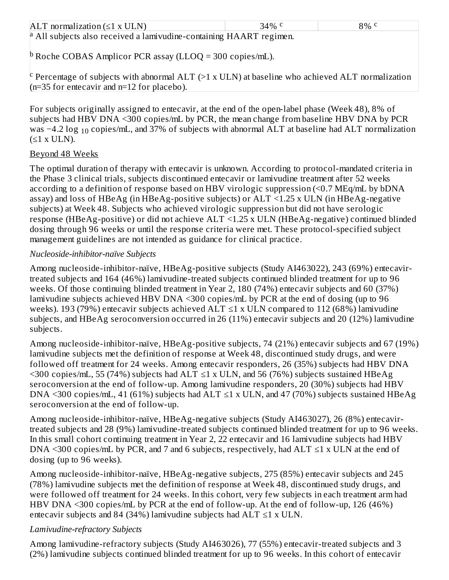| ALT normalization $(\leq 1 \times \text{ULN})$                             | 34\% $\rm{C}$ | $8\%$ c |
|----------------------------------------------------------------------------|---------------|---------|
| $\alpha$ All subjects also received a lamivudine-containing HAART regimen. |               |         |
| <sup>p</sup> Roche COBAS Amplicor PCR assay (LLOQ = 300 copies/mL).        |               |         |

 $\rm ^c$  Percentage of subjects with abnormal ALT (>1 x ULN) at baseline who achieved ALT normalization (n=35 for entecavir and n=12 for placebo).

For subjects originally assigned to entecavir, at the end of the open-label phase (Week 48), 8% of subjects had HBV DNA <300 copies/mL by PCR, the mean change from baseline HBV DNA by PCR was −4.2 log  $_{10}$  copies/mL, and 37% of subjects with abnormal ALT at baseline had ALT normalization  $(≤1 x ULN).$ 

### Beyond 48 Weeks

The optimal duration of therapy with entecavir is unknown. According to protocol-mandated criteria in the Phase 3 clinical trials, subjects discontinued entecavir or lamivudine treatment after 52 weeks according to a definition of response based on HBV virologic suppression (<0.7 MEq/mL by bDNA assay) and loss of HBeAg (in HBeAg-positive subjects) or ALT <1.25 x ULN (in HBeAg-negative subjects) at Week 48. Subjects who achieved virologic suppression but did not have serologic response (HBeAg-positive) or did not achieve ALT <1.25 x ULN (HBeAg-negative) continued blinded dosing through 96 weeks or until the response criteria were met. These protocol-specified subject management guidelines are not intended as guidance for clinical practice.

### *Nucleoside-inhibitor-naïve Subjects*

Among nucleoside-inhibitor-naïve, HBeAg-positive subjects (Study AI463022), 243 (69%) entecavirtreated subjects and 164 (46%) lamivudine-treated subjects continued blinded treatment for up to 96 weeks. Of those continuing blinded treatment in Year 2, 180 (74%) entecavir subjects and 60 (37%) lamivudine subjects achieved HBV DNA <300 copies/mL by PCR at the end of dosing (up to 96 weeks). 193 (79%) entecavir subjects achieved  $ALT \leq 1$  x ULN compared to 112 (68%) lamivudine subjects, and HBeAg seroconversion occurred in 26 (11%) entecavir subjects and 20 (12%) lamivudine subjects.

Among nucleoside-inhibitor-naïve, HBeAg-positive subjects, 74 (21%) entecavir subjects and 67 (19%) lamivudine subjects met the definition of response at Week 48, discontinued study drugs, and were followed off treatment for 24 weeks. Among entecavir responders, 26 (35%) subjects had HBV DNA  $\leq$ 300 copies/mL, 55 (74%) subjects had ALT  $\leq$ 1 x ULN, and 56 (76%) subjects sustained HBeAg seroconversion at the end of follow-up. Among lamivudine responders, 20 (30%) subjects had HBV DNA <300 copies/mL, 41 (61%) subjects had ALT  $\leq$ 1 x ULN, and 47 (70%) subjects sustained HBeAg seroconversion at the end of follow-up.

Among nucleoside-inhibitor-naïve, HBeAg-negative subjects (Study AI463027), 26 (8%) entecavirtreated subjects and 28 (9%) lamivudine-treated subjects continued blinded treatment for up to 96 weeks. In this small cohort continuing treatment in Year 2, 22 entecavir and 16 lamivudine subjects had HBV DNA <300 copies/mL by PCR, and 7 and 6 subjects, respectively, had  $ALT \le 1$  x ULN at the end of dosing (up to 96 weeks).

Among nucleoside-inhibitor-naïve, HBeAg-negative subjects, 275 (85%) entecavir subjects and 245 (78%) lamivudine subjects met the definition of response at Week 48, discontinued study drugs, and were followed off treatment for 24 weeks. In this cohort, very few subjects in each treatment arm had HBV DNA <300 copies/mL by PCR at the end of follow-up. At the end of follow-up, 126 (46%) entecavir subjects and 84 (34%) lamivudine subjects had  $ALT \leq 1$  x ULN.

## *Lamivudine-refractory Subjects*

Among lamivudine-refractory subjects (Study AI463026), 77 (55%) entecavir-treated subjects and 3 (2%) lamivudine subjects continued blinded treatment for up to 96 weeks. In this cohort of entecavir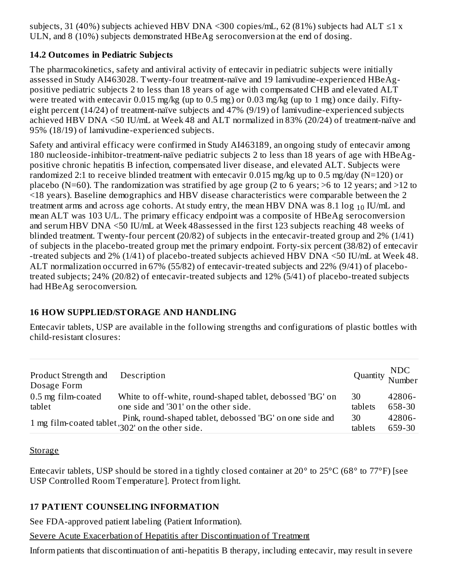subjects, 31 (40%) subjects achieved HBV DNA <300 copies/mL, 62 (81%) subjects had ALT  $\leq$ 1 x ULN, and 8 (10%) subjects demonstrated HBeAg seroconversion at the end of dosing.

## **14.2 Outcomes in Pediatric Subjects**

The pharmacokinetics, safety and antiviral activity of entecavir in pediatric subjects were initially assessed in Study AI463028. Twenty-four treatment-naïve and 19 lamivudine-experienced HBeAgpositive pediatric subjects 2 to less than 18 years of age with compensated CHB and elevated ALT were treated with entecavir 0.015 mg/kg (up to 0.5 mg) or 0.03 mg/kg (up to 1 mg) once daily. Fiftyeight percent (14/24) of treatment-naïve subjects and 47% (9/19) of lamivudine-experienced subjects achieved HBV DNA <50 IU/mL at Week 48 and ALT normalized in 83% (20/24) of treatment-naïve and 95% (18/19) of lamivudine-experienced subjects.

Safety and antiviral efficacy were confirmed in Study AI463189, an ongoing study of entecavir among 180 nucleoside-inhibitor-treatment-naïve pediatric subjects 2 to less than 18 years of age with HBeAgpositive chronic hepatitis B infection, compensated liver disease, and elevated ALT. Subjects were randomized 2:1 to receive blinded treatment with entecavir 0.015 mg/kg up to 0.5 mg/day (N=120) or placebo (N=60). The randomization was stratified by age group (2 to 6 years; >6 to 12 years; and >12 to <18 years). Baseline demographics and HBV disease characteristics were comparable between the 2 treatment arms and across age cohorts. At study entry, the mean HBV DNA was 8.1  $\log_{10}$  IU/mL and mean ALT was 103 U/L. The primary efficacy endpoint was a composite of HBeAg seroconversion and serum HBV DNA <50 IU/mL at Week 48assessed in the first 123 subjects reaching 48 weeks of blinded treatment. Twenty-four percent (20/82) of subjects in the entecavir-treated group and 2% (1/41) of subjects in the placebo-treated group met the primary endpoint. Forty-six percent (38/82) of entecavir -treated subjects and 2% (1/41) of placebo-treated subjects achieved HBV DNA <50 IU/mL at Week 48. ALT normalization occurred in 67% (55/82) of entecavir-treated subjects and 22% (9/41) of placebotreated subjects; 24% (20/82) of entecavir-treated subjects and 12% (5/41) of placebo-treated subjects had HBeAg seroconversion.

## **16 HOW SUPPLIED/STORAGE AND HANDLING**

Entecavir tablets, USP are available in the following strengths and configurations of plastic bottles with child-resistant closures:

| Product Strength and<br>Dosage Form | Description                                               | Quantity NDC<br>Number |        |
|-------------------------------------|-----------------------------------------------------------|------------------------|--------|
| 0.5 mg film-coated                  | White to off-white, round-shaped tablet, debossed 'BG' on | 30                     | 42806- |
| tablet                              | one side and '301' on the other side.                     | tablets                | 658-30 |
|                                     | Pink, round-shaped tablet, debossed 'BG' on one side and  | 30                     | 42806- |
|                                     | 1 mg film-coated tablet '102' on the other side.          | tablets                | 659-30 |

**Storage** 

Entecavir tablets, USP should be stored in a tightly closed container at 20° to 25°C (68° to 77°F) [see USP Controlled Room Temperature]. Protect from light.

## **17 PATIENT COUNSELING INFORMATION**

See FDA-approved patient labeling (Patient Information).

Severe Acute Exacerbation of Hepatitis after Discontinuation of Treatment

Inform patients that discontinuation of anti-hepatitis B therapy, including entecavir, may result in severe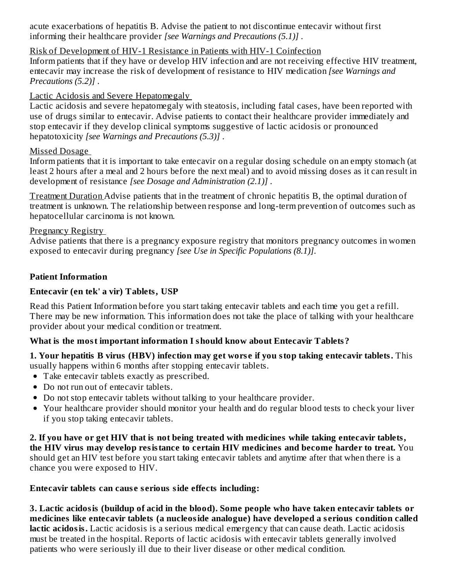acute exacerbations of hepatitis B. Advise the patient to not discontinue entecavir without first informing their healthcare provider *[see Warnings and Precautions (5.1)]* .

#### Risk of Development of HIV-1 Resistance in Patients with HIV-1 Coinfection

Inform patients that if they have or develop HIV infection and are not receiving effective HIV treatment, entecavir may increase the risk of development of resistance to HIV medication *[see Warnings and Precautions (5.2)]* .

### Lactic Acidosis and Severe Hepatomegaly

Lactic acidosis and severe hepatomegaly with steatosis, including fatal cases, have been reported with use of drugs similar to entecavir. Advise patients to contact their healthcare provider immediately and stop entecavir if they develop clinical symptoms suggestive of lactic acidosis or pronounced hepatotoxicity *[see Warnings and Precautions (5.3)]* .

### Missed Dosage

Inform patients that it is important to take entecavir on a regular dosing schedule on an empty stomach (at least 2 hours after a meal and 2 hours before the next meal) and to avoid missing doses as it can result in development of resistance *[see Dosage and Administration (2.1)]* .

Treatment Duration Advise patients that in the treatment of chronic hepatitis B, the optimal duration of treatment is unknown. The relationship between response and long-term prevention of outcomes such as hepatocellular carcinoma is not known.

### Pregnancy Registry

Advise patients that there is a pregnancy exposure registry that monitors pregnancy outcomes in women exposed to entecavir during pregnancy *[see Use in Specific Populations (8.1)]*.

### **Patient Information**

## **Entecavir (en tek' a vir) Tablets, USP**

Read this Patient Information before you start taking entecavir tablets and each time you get a refill. There may be new information. This information does not take the place of talking with your healthcare provider about your medical condition or treatment.

## **What is the most important information I should know about Entecavir Tablets?**

### **1. Your hepatitis B virus (HBV) infection may get wors e if you stop taking entecavir tablets.** This usually happens within 6 months after stopping entecavir tablets.

- Take entecavir tablets exactly as prescribed.
- Do not run out of entecavir tablets.
- Do not stop entecavir tablets without talking to your healthcare provider.
- Your healthcare provider should monitor your health and do regular blood tests to check your liver if you stop taking entecavir tablets.

**2. If you have or get HIV that is not being treated with medicines while taking entecavir tablets, the HIV virus may develop resistance to certain HIV medicines and become harder to treat.** You should get an HIV test before you start taking entecavir tablets and anytime after that when there is a chance you were exposed to HIV.

## **Entecavir tablets can caus e s erious side effects including:**

**3. Lactic acidosis (buildup of acid in the blood). Some people who have taken entecavir tablets or medicines like entecavir tablets (a nucleoside analogue) have developed a s erious condition called** lactic **acidosis.** Lactic acidosis is a serious medical emergency that can cause death. Lactic acidosis must be treated in the hospital. Reports of lactic acidosis with entecavir tablets generally involved patients who were seriously ill due to their liver disease or other medical condition.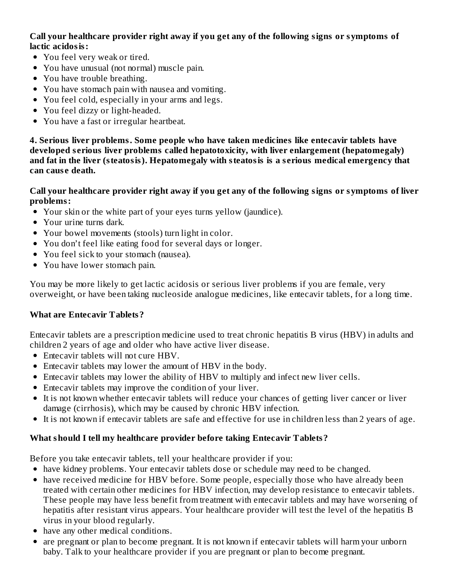**Call your healthcare provider right away if you get any of the following signs or symptoms of lactic acidosis:**

- You feel very weak or tired.
- You have unusual (not normal) muscle pain.
- You have trouble breathing.
- You have stomach pain with nausea and vomiting.
- You feel cold, especially in your arms and legs.
- You feel dizzy or light-headed.
- You have a fast or irregular heartbeat.

**4. Serious liver problems. Some people who have taken medicines like entecavir tablets have developed s erious liver problems called hepatotoxicity, with liver enlargement (hepatomegaly) and fat in the liver (steatosis). Hepatomegaly with steatosis is a s erious medical emergency that can caus e death.**

#### Call your healthcare provider right away if you get any of the following signs or symptoms of liver **problems:**

- Your skin or the white part of your eyes turns yellow (jaundice).
- Your urine turns dark.
- Your bowel movements (stools) turn light in color.
- You don't feel like eating food for several days or longer.
- You feel sick to your stomach (nausea).
- You have lower stomach pain.

You may be more likely to get lactic acidosis or serious liver problems if you are female, very overweight, or have been taking nucleoside analogue medicines, like entecavir tablets, for a long time.

## **What are Entecavir Tablets?**

Entecavir tablets are a prescription medicine used to treat chronic hepatitis B virus (HBV) in adults and children 2 years of age and older who have active liver disease.

- Entecavir tablets will not cure HBV.
- Entecavir tablets may lower the amount of HBV in the body.
- Entecavir tablets may lower the ability of HBV to multiply and infect new liver cells.
- Entecavir tablets may improve the condition of your liver.
- It is not known whether entecavir tablets will reduce your chances of getting liver cancer or liver damage (cirrhosis), which may be caused by chronic HBV infection.
- It is not known if entecavir tablets are safe and effective for use in children less than 2 years of age.

## **What should I tell my healthcare provider before taking Entecavir Tablets?**

Before you take entecavir tablets, tell your healthcare provider if you:

- have kidney problems. Your entecavir tablets dose or schedule may need to be changed.
- have received medicine for HBV before. Some people, especially those who have already been treated with certain other medicines for HBV infection, may develop resistance to entecavir tablets. These people may have less benefit from treatment with entecavir tablets and may have worsening of hepatitis after resistant virus appears. Your healthcare provider will test the level of the hepatitis B virus in your blood regularly.
- have any other medical conditions.
- are pregnant or plan to become pregnant. It is not known if entecavir tablets will harm your unborn baby. Talk to your healthcare provider if you are pregnant or plan to become pregnant.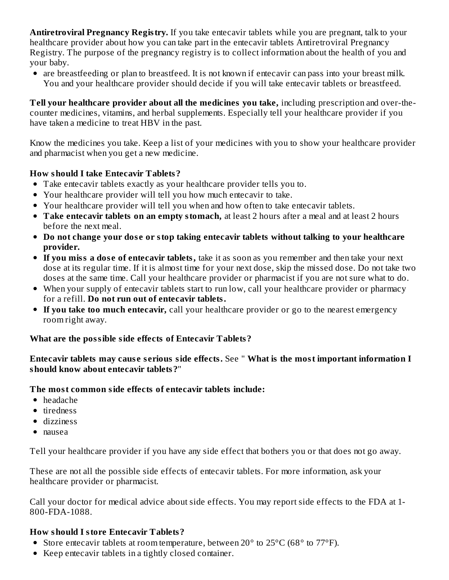**Antiretroviral Pregnancy Registry.** If you take entecavir tablets while you are pregnant, talk to your healthcare provider about how you can take part in the entecavir tablets Antiretroviral Pregnancy Registry. The purpose of the pregnancy registry is to collect information about the health of you and your baby.

are breastfeeding or plan to breastfeed. It is not known if entecavir can pass into your breast milk. You and your healthcare provider should decide if you will take entecavir tablets or breastfeed.

**Tell your healthcare provider about all the medicines you take,** including prescription and over-thecounter medicines, vitamins, and herbal supplements. Especially tell your healthcare provider if you have taken a medicine to treat HBV in the past.

Know the medicines you take. Keep a list of your medicines with you to show your healthcare provider and pharmacist when you get a new medicine.

### **How should I take Entecavir Tablets?**

- Take entecavir tablets exactly as your healthcare provider tells you to.
- Your healthcare provider will tell you how much entecavir to take.
- Your healthcare provider will tell you when and how often to take entecavir tablets.
- **Take entecavir tablets on an empty stomach,** at least 2 hours after a meal and at least 2 hours before the next meal.
- **Do not change your dos e or stop taking entecavir tablets without talking to your healthcare provider.**
- **If you miss a dos e of entecavir tablets,** take it as soon as you remember and then take your next dose at its regular time. If it is almost time for your next dose, skip the missed dose. Do not take two doses at the same time. Call your healthcare provider or pharmacist if you are not sure what to do.
- When your supply of entecavir tablets start to run low, call your healthcare provider or pharmacy for a refill. **Do not run out of entecavir tablets.**
- **If you take too much entecavir,** call your healthcare provider or go to the nearest emergency room right away.

#### **What are the possible side effects of Entecavir Tablets?**

#### **Entecavir tablets may caus e s erious side effects.** See " **What is the most important information I should know about entecavir tablets?**"

#### **The most common side effects of entecavir tablets include:**

- headache
- tiredness
- dizziness
- nausea

Tell your healthcare provider if you have any side effect that bothers you or that does not go away.

These are not all the possible side effects of entecavir tablets. For more information, ask your healthcare provider or pharmacist.

Call your doctor for medical advice about side effects. You may report side effects to the FDA at 1- 800-FDA-1088.

#### **How should I store Entecavir Tablets?**

- Store entecavir tablets at room temperature, between 20° to 25°C (68° to 77°F).
- Keep entecavir tablets in a tightly closed container.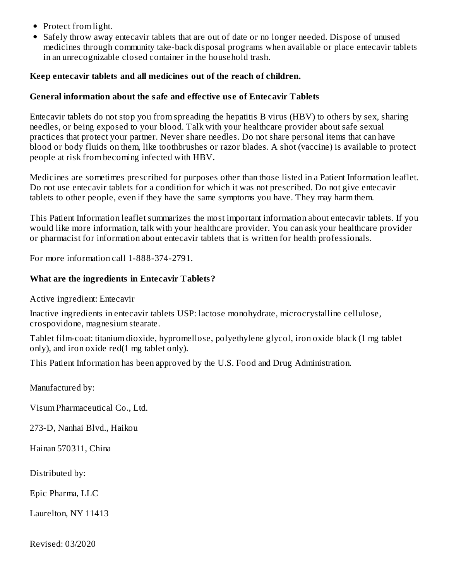- Protect from light.
- Safely throw away entecavir tablets that are out of date or no longer needed. Dispose of unused medicines through community take-back disposal programs when available or place entecavir tablets in an unrecognizable closed container in the household trash.

#### **Keep entecavir tablets and all medicines out of the reach of children.**

#### **General information about the safe and effective us e of Entecavir Tablets**

Entecavir tablets do not stop you from spreading the hepatitis B virus (HBV) to others by sex, sharing needles, or being exposed to your blood. Talk with your healthcare provider about safe sexual practices that protect your partner. Never share needles. Do not share personal items that can have blood or body fluids on them, like toothbrushes or razor blades. A shot (vaccine) is available to protect people at risk from becoming infected with HBV.

Medicines are sometimes prescribed for purposes other than those listed in a Patient Information leaflet. Do not use entecavir tablets for a condition for which it was not prescribed. Do not give entecavir tablets to other people, even if they have the same symptoms you have. They may harm them.

This Patient Information leaflet summarizes the most important information about entecavir tablets. If you would like more information, talk with your healthcare provider. You can ask your healthcare provider or pharmacist for information about entecavir tablets that is written for health professionals.

For more information call 1-888-374-2791.

#### **What are the ingredients in Entecavir Tablets?**

Active ingredient: Entecavir

Inactive ingredients in entecavir tablets USP: lactose monohydrate, microcrystalline cellulose, crospovidone, magnesium stearate.

Tablet film-coat: titanium dioxide, hypromellose, polyethylene glycol, iron oxide black (1 mg tablet only), and iron oxide red(1 mg tablet only).

This Patient Information has been approved by the U.S. Food and Drug Administration.

Manufactured by:

Visum Pharmaceutical Co., Ltd.

273-D, Nanhai Blvd., Haikou

Hainan 570311, China

Distributed by:

Epic Pharma, LLC

Laurelton, NY 11413

Revised: 03/2020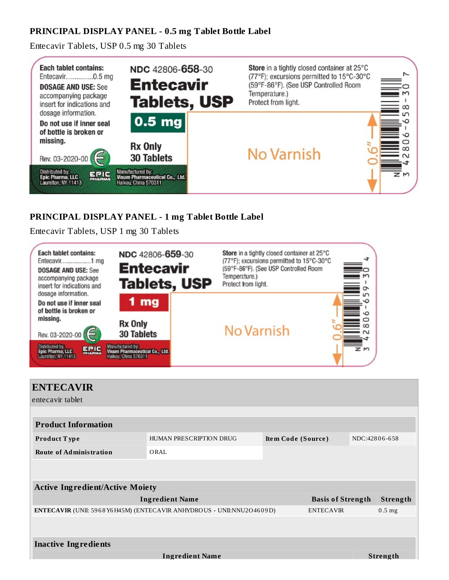### **PRINCIPAL DISPLAY PANEL - 0.5 mg Tablet Bottle Label**

Entecavir Tablets, USP 0.5 mg 30 Tablets



### **PRINCIPAL DISPLAY PANEL - 1 mg Tablet Bottle Label**

Entecavir Tablets, USP 1 mg 30 Tablets



| <b>ENTECAVIR</b><br>entecavir tablet   |                                                                               |                    |                          |               |          |
|----------------------------------------|-------------------------------------------------------------------------------|--------------------|--------------------------|---------------|----------|
| <b>Product Information</b>             |                                                                               |                    |                          |               |          |
| <b>Product Type</b>                    | HUMAN PRESCRIPTION DRUG                                                       | Item Code (Source) |                          | NDC:42806-658 |          |
| <b>Route of Administration</b>         | ORAL                                                                          |                    |                          |               |          |
| <b>Active Ingredient/Active Moiety</b> |                                                                               |                    |                          |               |          |
|                                        | <b>Ingredient Name</b>                                                        |                    | <b>Basis of Strength</b> |               | Strength |
|                                        | <b>ENTECAVIR</b> (UNII: 5968 Y6 H45M) (ENTECAVIR ANHYDROUS - UNII:NNU2O4609D) |                    | <b>ENTECAVIR</b>         |               | $0.5$ mg |
|                                        |                                                                               |                    |                          |               |          |
| <b>Inactive Ingredients</b>            |                                                                               |                    |                          |               |          |
|                                        | <b>Ingredient Name</b>                                                        |                    |                          |               | Strength |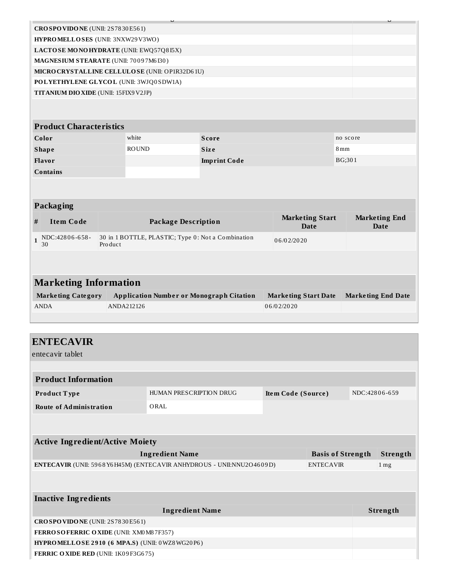| CROSPOVIDONE (UNII: 2S7830E561)                 |                                                    |                     |                                       |                                     |  |
|-------------------------------------------------|----------------------------------------------------|---------------------|---------------------------------------|-------------------------------------|--|
| HYPROMELLOSES (UNII: 3NXW29V3WO)                |                                                    |                     |                                       |                                     |  |
| LACTOSE MONOHYDRATE (UNII: EWQ57Q8I5X)          |                                                    |                     |                                       |                                     |  |
| MAGNESIUM STEARATE (UNII: 70097M6I30)           |                                                    |                     |                                       |                                     |  |
| MICRO CRYSTALLINE CELLULO SE (UNII: OP1R32D61U) |                                                    |                     |                                       |                                     |  |
| POLYETHYLENE GLYCOL (UNII: 3WJQ0SDW1A)          |                                                    |                     |                                       |                                     |  |
| TITANIUM DIO XIDE (UNII: 15FIX9 V2JP)           |                                                    |                     |                                       |                                     |  |
|                                                 |                                                    |                     |                                       |                                     |  |
| <b>Product Characteristics</b>                  |                                                    |                     |                                       |                                     |  |
| Color                                           | white                                              | <b>Score</b>        |                                       | no score                            |  |
| <b>Shape</b>                                    | <b>ROUND</b>                                       | <b>Size</b>         |                                       | 8mm                                 |  |
| Flavor                                          |                                                    | <b>Imprint Code</b> |                                       | BG;301                              |  |
| <b>Contains</b>                                 |                                                    |                     |                                       |                                     |  |
|                                                 |                                                    |                     |                                       |                                     |  |
|                                                 |                                                    |                     |                                       |                                     |  |
| Packaging                                       |                                                    |                     |                                       |                                     |  |
| <b>Item Code</b><br>#                           | <b>Package Description</b>                         |                     | <b>Marketing Start</b><br><b>Date</b> | <b>Marketing End</b><br><b>Date</b> |  |
| NDC:42806-658-<br>$\mathbf{1}$<br>Product<br>30 | 30 in 1 BOTTLE, PLASTIC; Type 0: Not a Combination |                     | 06/02/2020                            |                                     |  |
|                                                 |                                                    |                     |                                       |                                     |  |
|                                                 |                                                    |                     |                                       |                                     |  |
| <b>Marketing Information</b>                    |                                                    |                     |                                       |                                     |  |
| <b>Marketing Category</b>                       | <b>Application Number or Monograph Citation</b>    |                     | <b>Marketing Start Date</b>           | <b>Marketing End Date</b>           |  |
| <b>ANDA</b>                                     | ANDA212126                                         |                     | 06/02/2020                            |                                     |  |
|                                                 |                                                    |                     |                                       |                                     |  |
|                                                 |                                                    |                     |                                       |                                     |  |

| <b>ENTECAVIR</b>                                      |                                                                       |                    |                          |               |                   |
|-------------------------------------------------------|-----------------------------------------------------------------------|--------------------|--------------------------|---------------|-------------------|
| entecavir tablet                                      |                                                                       |                    |                          |               |                   |
|                                                       |                                                                       |                    |                          |               |                   |
| <b>Product Information</b>                            |                                                                       |                    |                          |               |                   |
| Product Type                                          | HUMAN PRESCRIPTION DRUG                                               | Item Code (Source) |                          | NDC:42806-659 |                   |
| <b>Route of Administration</b>                        | ORAL                                                                  |                    |                          |               |                   |
|                                                       |                                                                       |                    |                          |               |                   |
| <b>Active Ingredient/Active Moiety</b>                |                                                                       |                    |                          |               |                   |
|                                                       | <b>Ingredient Name</b>                                                |                    | <b>Basis of Strength</b> |               | Strength          |
|                                                       | ENTECAVIR (UNII: 5968 Y6H45M) (ENTECAVIR ANHYDROUS - UNII:NNU2O4609D) |                    | <b>ENTECAVIR</b>         |               | $1 \,\mathrm{mg}$ |
|                                                       |                                                                       |                    |                          |               |                   |
| <b>Inactive Ingredients</b>                           |                                                                       |                    |                          |               |                   |
|                                                       | <b>Ingredient Name</b>                                                |                    |                          |               | Strength          |
| CROSPOVIDONE (UNII: 2S7830E561)                       |                                                                       |                    |                          |               |                   |
| FERROSOFERRIC OXIDE (UNII: XM0 M8 7F357)              |                                                                       |                    |                          |               |                   |
| <b>HYPROMELLOSE 2910 (6 MPA.S) (UNII: 0WZ8WG20P6)</b> |                                                                       |                    |                          |               |                   |

**FERRIC OXIDE RED** (UNII: 1K0 9 F3G6 75)